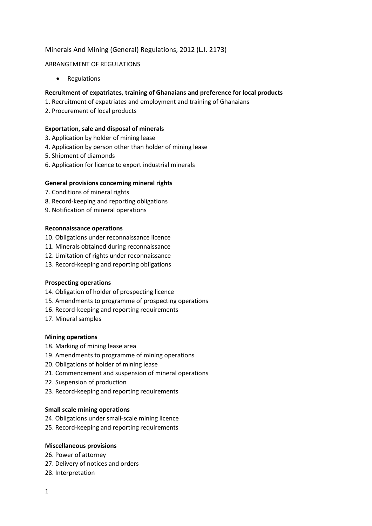## Minerals And Mining (General) Regulations, 2012 (L.I. 2173)

#### ARRANGEMENT OF REGULATIONS

• Regulations

### **Recruitment of expatriates, training of Ghanaians and preference for local products**

- 1. Recruitment of expatriates and employment and training of Ghanaians
- 2. Procurement of local products

### **Exportation, sale and disposal of minerals**

- 3. Application by holder of mining lease
- 4. Application by person other than holder of mining lease
- 5. Shipment of diamonds
- 6. Application for licence to export industrial minerals

### **General provisions concerning mineral rights**

- 7. Conditions of mineral rights
- 8. Record-keeping and reporting obligations
- 9. Notification of mineral operations

### **Reconnaissance operations**

- 10. Obligations under reconnaissance licence
- 11. Minerals obtained during reconnaissance
- 12. Limitation of rights under reconnaissance
- 13. Record-keeping and reporting obligations

#### **Prospecting operations**

- 14. Obligation of holder of prospecting licence
- 15. Amendments to programme of prospecting operations
- 16. Record-keeping and reporting requirements
- 17. Mineral samples

#### **Mining operations**

- 18. Marking of mining lease area
- 19. Amendments to programme of mining operations
- 20. Obligations of holder of mining lease
- 21. Commencement and suspension of mineral operations
- 22. Suspension of production
- 23. Record-keeping and reporting requirements

#### **Small scale mining operations**

- 24. Obligations under small-scale mining licence
- 25. Record-keeping and reporting requirements

#### **Miscellaneous provisions**

- 26. Power of attorney
- 27. Delivery of notices and orders
- 28. Interpretation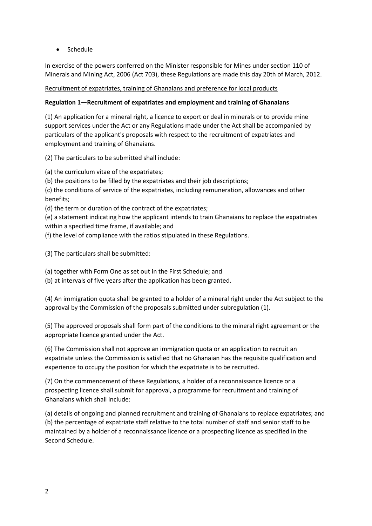Schedule

In exercise of the powers conferred on the Minister responsible for Mines under section 110 of Minerals and Mining Act, 2006 (Act 703), these Regulations are made this day 20th of March, 2012.

### Recruitment of expatriates, training of Ghanaians and preference for local products

### **Regulation 1—Recruitment of expatriates and employment and training of Ghanaians**

(1) An application for a mineral right, a licence to export or deal in minerals or to provide mine support services under the Act or any Regulations made under the Act shall be accompanied by particulars of the applicant's proposals with respect to the recruitment of expatriates and employment and training of Ghanaians.

(2) The particulars to be submitted shall include:

(a) the curriculum vitae of the expatriates;

(b) the positions to be filled by the expatriates and their job descriptions;

(c) the conditions of service of the expatriates, including remuneration, allowances and other benefits;

(d) the term or duration of the contract of the expatriates;

(e) a statement indicating how the applicant intends to train Ghanaians to replace the expatriates within a specified time frame, if available; and

(f) the level of compliance with the ratios stipulated in these Regulations.

(3) The particulars shall be submitted:

(a) together with Form One as set out in the First Schedule; and

(b) at intervals of five years after the application has been granted.

(4) An immigration quota shall be granted to a holder of a mineral right under the Act subject to the approval by the Commission of the proposals submitted under subregulation (1).

(5) The approved proposals shall form part of the conditions to the mineral right agreement or the appropriate licence granted under the Act.

(6) The Commission shall not approve an immigration quota or an application to recruit an expatriate unless the Commission is satisfied that no Ghanaian has the requisite qualification and experience to occupy the position for which the expatriate is to be recruited.

(7) On the commencement of these Regulations, a holder of a reconnaissance licence or a prospecting licence shall submit for approval, a programme for recruitment and training of Ghanaians which shall include:

(a) details of ongoing and planned recruitment and training of Ghanaians to replace expatriates; and (b) the percentage of expatriate staff relative to the total number of staff and senior staff to be maintained by a holder of a reconnaissance licence or a prospecting licence as specified in the Second Schedule.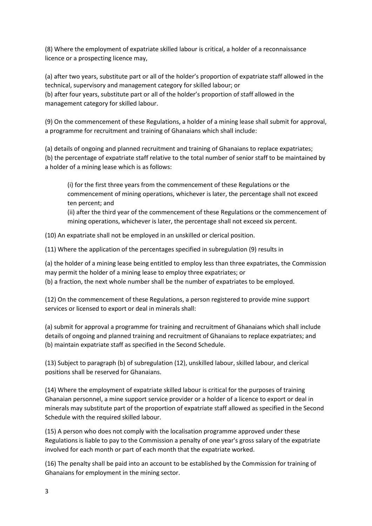(8) Where the employment of expatriate skilled labour is critical, a holder of a reconnaissance licence or a prospecting licence may,

(a) after two years, substitute part or all of the holder's proportion of expatriate staff allowed in the technical, supervisory and management category for skilled labour; or (b) after four years, substitute part or all of the holder's proportion of staff allowed in the management category for skilled labour.

(9) On the commencement of these Regulations, a holder of a mining lease shall submit for approval, a programme for recruitment and training of Ghanaians which shall include:

(a) details of ongoing and planned recruitment and training of Ghanaians to replace expatriates; (b) the percentage of expatriate staff relative to the total number of senior staff to be maintained by a holder of a mining lease which is as follows:

(i) for the first three years from the commencement of these Regulations or the commencement of mining operations, whichever is later, the percentage shall not exceed ten percent; and

(ii) after the third year of the commencement of these Regulations or the commencement of mining operations, whichever is later, the percentage shall not exceed six percent.

(10) An expatriate shall not be employed in an unskilled or clerical position.

(11) Where the application of the percentages specified in subregulation (9) results in

(a) the holder of a mining lease being entitled to employ less than three expatriates, the Commission may permit the holder of a mining lease to employ three expatriates; or

(b) a fraction, the next whole number shall be the number of expatriates to be employed.

(12) On the commencement of these Regulations, a person registered to provide mine support services or licensed to export or deal in minerals shall:

(a) submit for approval a programme for training and recruitment of Ghanaians which shall include details of ongoing and planned training and recruitment of Ghanaians to replace expatriates; and (b) maintain expatriate staff as specified in the Second Schedule.

(13) Subject to paragraph (b) of subregulation (12), unskilled labour, skilled labour, and clerical positions shall be reserved for Ghanaians.

(14) Where the employment of expatriate skilled labour is critical for the purposes of training Ghanaian personnel, a mine support service provider or a holder of a licence to export or deal in minerals may substitute part of the proportion of expatriate staff allowed as specified in the Second Schedule with the required skilled labour.

(15) A person who does not comply with the localisation programme approved under these Regulations is liable to pay to the Commission a penalty of one year's gross salary of the expatriate involved for each month or part of each month that the expatriate worked.

(16) The penalty shall be paid into an account to be established by the Commission for training of Ghanaians for employment in the mining sector.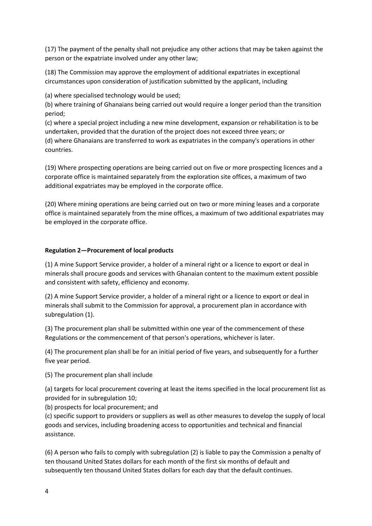(17) The payment of the penalty shall not prejudice any other actions that may be taken against the person or the expatriate involved under any other law;

(18) The Commission may approve the employment of additional expatriates in exceptional circumstances upon consideration of justification submitted by the applicant, including

(a) where specialised technology would be used;

(b) where training of Ghanaians being carried out would require a longer period than the transition period;

(c) where a special project including a new mine development, expansion or rehabilitation is to be undertaken, provided that the duration of the project does not exceed three years; or (d) where Ghanaians are transferred to work as expatriates in the company's operations in other countries.

(19) Where prospecting operations are being carried out on five or more prospecting licences and a corporate office is maintained separately from the exploration site offices, a maximum of two additional expatriates may be employed in the corporate office.

(20) Where mining operations are being carried out on two or more mining leases and a corporate office is maintained separately from the mine offices, a maximum of two additional expatriates may be employed in the corporate office.

### **Regulation 2—Procurement of local products**

(1) A mine Support Service provider, a holder of a mineral right or a licence to export or deal in minerals shall procure goods and services with Ghanaian content to the maximum extent possible and consistent with safety, efficiency and economy.

(2) A mine Support Service provider, a holder of a mineral right or a licence to export or deal in minerals shall submit to the Commission for approval, a procurement plan in accordance with subregulation (1).

(3) The procurement plan shall be submitted within one year of the commencement of these Regulations or the commencement of that person's operations, whichever is later.

(4) The procurement plan shall be for an initial period of five years, and subsequently for a further five year period.

(5) The procurement plan shall include

(a) targets for local procurement covering at least the items specified in the local procurement list as provided for in subregulation 10;

(b) prospects for local procurement; and

(c) specific support to providers or suppliers as well as other measures to develop the supply of local goods and services, including broadening access to opportunities and technical and financial assistance.

(6) A person who fails to comply with subregulation (2) is liable to pay the Commission a penalty of ten thousand United States dollars for each month of the first six months of default and subsequently ten thousand United States dollars for each day that the default continues.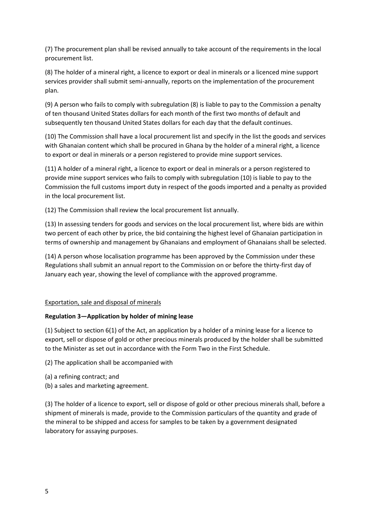(7) The procurement plan shall be revised annually to take account of the requirements in the local procurement list.

(8) The holder of a mineral right, a licence to export or deal in minerals or a licenced mine support services provider shall submit semi-annually, reports on the implementation of the procurement plan.

(9) A person who fails to comply with subregulation (8) is liable to pay to the Commission a penalty of ten thousand United States dollars for each month of the first two months of default and subsequently ten thousand United States dollars for each day that the default continues.

(10) The Commission shall have a local procurement list and specify in the list the goods and services with Ghanaian content which shall be procured in Ghana by the holder of a mineral right, a licence to export or deal in minerals or a person registered to provide mine support services.

(11) A holder of a mineral right, a licence to export or deal in minerals or a person registered to provide mine support services who fails to comply with subregulation (10) is liable to pay to the Commission the full customs import duty in respect of the goods imported and a penalty as provided in the local procurement list.

(12) The Commission shall review the local procurement list annually.

(13) In assessing tenders for goods and services on the local procurement list, where bids are within two percent of each other by price, the bid containing the highest level of Ghanaian participation in terms of ownership and management by Ghanaians and employment of Ghanaians shall be selected.

(14) A person whose localisation programme has been approved by the Commission under these Regulations shall submit an annual report to the Commission on or before the thirty-first day of January each year, showing the level of compliance with the approved programme.

### Exportation, sale and disposal of minerals

### **Regulation 3—Application by holder of mining lease**

(1) Subject to section 6(1) of the Act, an application by a holder of a mining lease for a licence to export, sell or dispose of gold or other precious minerals produced by the holder shall be submitted to the Minister as set out in accordance with the Form Two in the First Schedule.

(2) The application shall be accompanied with

- (a) a refining contract; and
- (b) a sales and marketing agreement.

(3) The holder of a licence to export, sell or dispose of gold or other precious minerals shall, before a shipment of minerals is made, provide to the Commission particulars of the quantity and grade of the mineral to be shipped and access for samples to be taken by a government designated laboratory for assaying purposes.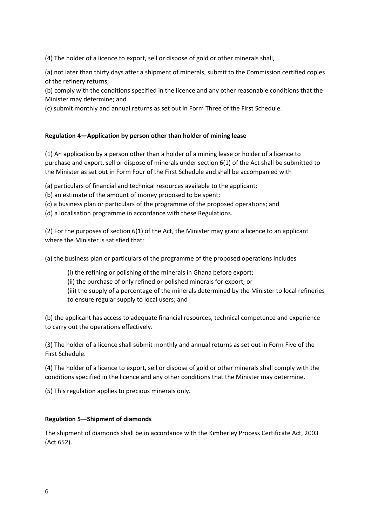(4) The holder of a licence to export, sell or dispose of gold or other minerals shall,

(a) not later than thirty days after a shipment of minerals, submit to the Commission certified copies of the refinery returns;

(b) comply with the conditions specified in the licence and any other reasonable conditions that the Minister may determine; and

(c) submit monthly and annual returns as set out in Form Three of the First Schedule.

### **Regulation 4—Application by person other than holder of mining lease**

(1) An application by a person other than a holder of a mining lease or holder of a licence to purchase and export, sell or dispose of minerals under section 6(1) of the Act shall be submitted to the Minister as set out in Form Four of the First Schedule and shall be accompanied with

(a) particulars of financial and technical resources available to the applicant;

(b) an estimate of the amount of money proposed to be spent;

(c) a business plan or particulars of the programme of the proposed operations; and

(d) a localisation programme in accordance with these Regulations.

(2) For the purposes of section 6(1) of the Act, the Minister may grant a licence to an applicant where the Minister is satisfied that:

(a) the business plan or particulars of the programme of the proposed operations includes

(i) the refining or polishing of the minerals in Ghana before export;

(ii) the purchase of only refined or polished minerals for export; or

(iii) the supply of a percentage of the minerals determined by the Minister to local refineries to ensure regular supply to local users; and

(b) the applicant has access to adequate financial resources, technical competence and experience to carry out the operations effectively.

(3) The holder of a licence shall submit monthly and annual returns as set out in Form Five of the First Schedule.

(4) The holder of a licence to export, sell or dispose of gold or other minerals shall comply with the conditions specified in the licence and any other conditions that the Minister may determine.

(5) This regulation applies to precious minerals only.

#### **Regulation 5—Shipment of diamonds**

The shipment of diamonds shall be in accordance with the Kimberley Process Certificate Act, 2003 (Act 652).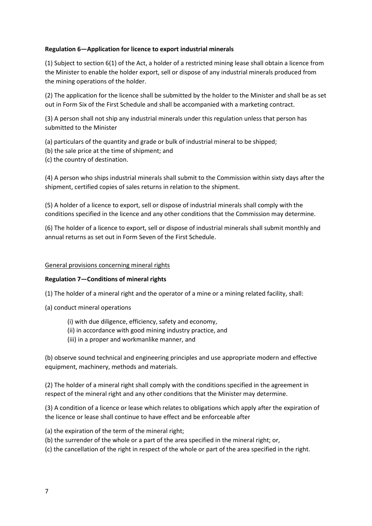### **Regulation 6—Application for licence to export industrial minerals**

(1) Subject to section 6(1) of the Act, a holder of a restricted mining lease shall obtain a licence from the Minister to enable the holder export, sell or dispose of any industrial minerals produced from the mining operations of the holder.

(2) The application for the licence shall be submitted by the holder to the Minister and shall be as set out in Form Six of the First Schedule and shall be accompanied with a marketing contract.

(3) A person shall not ship any industrial minerals under this regulation unless that person has submitted to the Minister

(a) particulars of the quantity and grade or bulk of industrial mineral to be shipped;

- (b) the sale price at the time of shipment; and
- (c) the country of destination.

(4) A person who ships industrial minerals shall submit to the Commission within sixty days after the shipment, certified copies of sales returns in relation to the shipment.

(5) A holder of a licence to export, sell or dispose of industrial minerals shall comply with the conditions specified in the licence and any other conditions that the Commission may determine.

(6) The holder of a licence to export, sell or dispose of industrial minerals shall submit monthly and annual returns as set out in Form Seven of the First Schedule.

#### General provisions concerning mineral rights

#### **Regulation 7—Conditions of mineral rights**

(1) The holder of a mineral right and the operator of a mine or a mining related facility, shall:

- (a) conduct mineral operations
	- (i) with due diligence, efficiency, safety and economy,
	- (ii) in accordance with good mining industry practice, and
	- (iii) in a proper and workmanlike manner, and

(b) observe sound technical and engineering principles and use appropriate modern and effective equipment, machinery, methods and materials.

(2) The holder of a mineral right shall comply with the conditions specified in the agreement in respect of the mineral right and any other conditions that the Minister may determine.

(3) A condition of a licence or lease which relates to obligations which apply after the expiration of the licence or lease shall continue to have effect and be enforceable after

- (a) the expiration of the term of the mineral right;
- (b) the surrender of the whole or a part of the area specified in the mineral right; or,
- (c) the cancellation of the right in respect of the whole or part of the area specified in the right.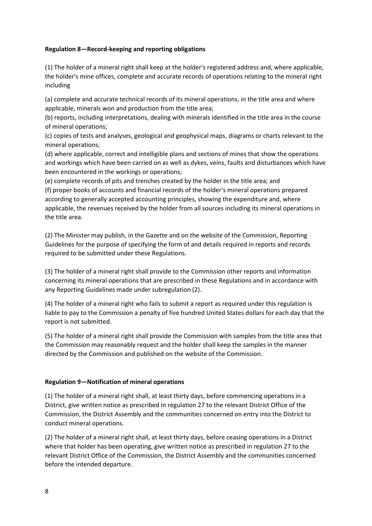### **Regulation 8—Record-keeping and reporting obligations**

(1) The holder of a mineral right shall keep at the holder's registered address and, where applicable, the holder's mine offices, complete and accurate records of operations relating to the mineral right including

(a) complete and accurate technical records of its mineral operations, in the title area and where applicable, minerals won and production from the title area;

(b) reports, including interpretations, dealing with minerals identified in the title area in the course of mineral operations;

(c) copies of tests and analyses, geological and geophysical maps, diagrams or charts relevant to the mineral operations;

(d) where applicable, correct and intelligible plans and sections of mines that show the operations and workings which have been carried on as well as dykes, veins, faults and disturbances which have been encountered in the workings or operations;

(e) complete records of pits and trenches created by the holder in the title area; and (f) proper books of accounts and financial records of the holder's mineral operations prepared according to generally accepted accounting principles, showing the expenditure and, where applicable, the revenues received by the holder from all sources including its mineral operations in the title area.

(2) The Minister may publish, in the Gazette and on the website of the Commission, Reporting Guidelines for the purpose of specifying the form of and details required in reports and records required to be submitted under these Regulations.

(3) The holder of a mineral right shall provide to the Commission other reports and information concerning its mineral operations that are prescribed in these Regulations and in accordance with any Reporting Guidelines made under subregulation (2).

(4) The holder of a mineral right who fails to submit a report as required under this regulation is liable to pay to the Commission a penalty of five hundred United States dollars for each day that the report is not submitted.

(5) The holder of a mineral right shall provide the Commission with samples from the title area that the Commission may reasonably request and the holder shall keep the samples in the manner directed by the Commission and published on the website of the Commission.

#### **Regulation 9—Notification of mineral operations**

(1) The holder of a mineral right shall, at least thirty days, before commencing operations in a District, give written notice as prescribed in regulation 27 to the relevant District Office of the Commission, the District Assembly and the communities concerned on entry into the District to conduct mineral operations.

(2) The holder of a mineral right shall, at least thirty days, before ceasing operations in a District where that holder has been operating, give written notice as prescribed in regulation 27 to the relevant District Office of the Commission, the District Assembly and the communities concerned before the intended departure.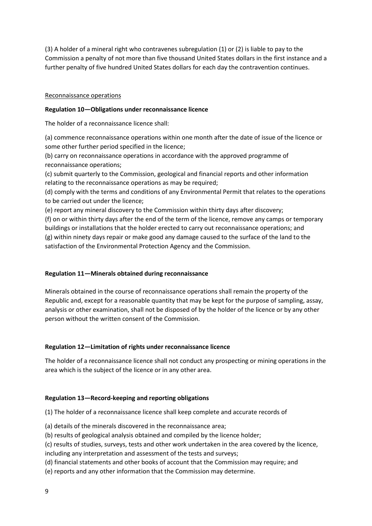(3) A holder of a mineral right who contravenes subregulation (1) or (2) is liable to pay to the Commission a penalty of not more than five thousand United States dollars in the first instance and a further penalty of five hundred United States dollars for each day the contravention continues.

### Reconnaissance operations

### **Regulation 10—Obligations under reconnaissance licence**

The holder of a reconnaissance licence shall:

(a) commence reconnaissance operations within one month after the date of issue of the licence or some other further period specified in the licence;

(b) carry on reconnaissance operations in accordance with the approved programme of reconnaissance operations;

(c) submit quarterly to the Commission, geological and financial reports and other information relating to the reconnaissance operations as may be required;

(d) comply with the terms and conditions of any Environmental Permit that relates to the operations to be carried out under the licence;

(e) report any mineral discovery to the Commission within thirty days after discovery;

(f) on or within thirty days after the end of the term of the licence, remove any camps or temporary buildings or installations that the holder erected to carry out reconnaissance operations; and (g) within ninety days repair or make good any damage caused to the surface of the land to the satisfaction of the Environmental Protection Agency and the Commission.

### **Regulation 11—Minerals obtained during reconnaissance**

Minerals obtained in the course of reconnaissance operations shall remain the property of the Republic and, except for a reasonable quantity that may be kept for the purpose of sampling, assay, analysis or other examination, shall not be disposed of by the holder of the licence or by any other person without the written consent of the Commission.

#### **Regulation 12—Limitation of rights under reconnaissance licence**

The holder of a reconnaissance licence shall not conduct any prospecting or mining operations in the area which is the subject of the licence or in any other area.

#### **Regulation 13—Record-keeping and reporting obligations**

(1) The holder of a reconnaissance licence shall keep complete and accurate records of

- (a) details of the minerals discovered in the reconnaissance area;
- (b) results of geological analysis obtained and compiled by the licence holder;
- (c) results of studies, surveys, tests and other work undertaken in the area covered by the licence, including any interpretation and assessment of the tests and surveys;
- (d) financial statements and other books of account that the Commission may require; and
- (e) reports and any other information that the Commission may determine.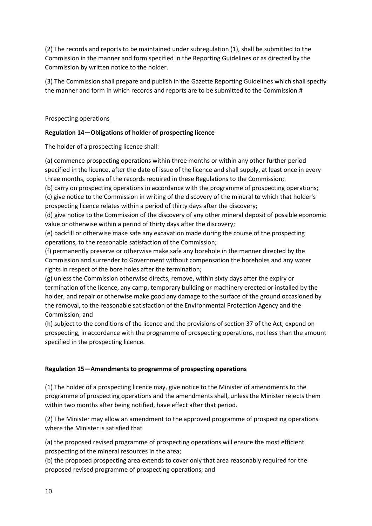(2) The records and reports to be maintained under subregulation (1), shall be submitted to the Commission in the manner and form specified in the Reporting Guidelines or as directed by the Commission by written notice to the holder.

(3) The Commission shall prepare and publish in the Gazette Reporting Guidelines which shall specify the manner and form in which records and reports are to be submitted to the Commission.#

### Prospecting operations

### **Regulation 14—Obligations of holder of prospecting licence**

The holder of a prospecting licence shall:

(a) commence prospecting operations within three months or within any other further period specified in the licence, after the date of issue of the licence and shall supply, at least once in every three months, copies of the records required in these Regulations to the Commission;.

(b) carry on prospecting operations in accordance with the programme of prospecting operations; (c) give notice to the Commission in writing of the discovery of the mineral to which that holder's prospecting licence relates within a period of thirty days after the discovery;

(d) give notice to the Commission of the discovery of any other mineral deposit of possible economic value or otherwise within a period of thirty days after the discovery;

(e) backfill or otherwise make safe any excavation made during the course of the prospecting operations, to the reasonable satisfaction of the Commission;

(f) permanently preserve or otherwise make safe any borehole in the manner directed by the Commission and surrender to Government without compensation the boreholes and any water rights in respect of the bore holes after the termination;

(g) unless the Commission otherwise directs, remove, within sixty days after the expiry or termination of the licence, any camp, temporary building or machinery erected or installed by the holder, and repair or otherwise make good any damage to the surface of the ground occasioned by the removal, to the reasonable satisfaction of the Environmental Protection Agency and the Commission; and

(h) subject to the conditions of the licence and the provisions of section 37 of the Act, expend on prospecting, in accordance with the programme of prospecting operations, not less than the amount specified in the prospecting licence.

### **Regulation 15—Amendments to programme of prospecting operations**

(1) The holder of a prospecting licence may, give notice to the Minister of amendments to the programme of prospecting operations and the amendments shall, unless the Minister rejects them within two months after being notified, have effect after that period.

(2) The Minister may allow an amendment to the approved programme of prospecting operations where the Minister is satisfied that

(a) the proposed revised programme of prospecting operations will ensure the most efficient prospecting of the mineral resources in the area;

(b) the proposed prospecting area extends to cover only that area reasonably required for the proposed revised programme of prospecting operations; and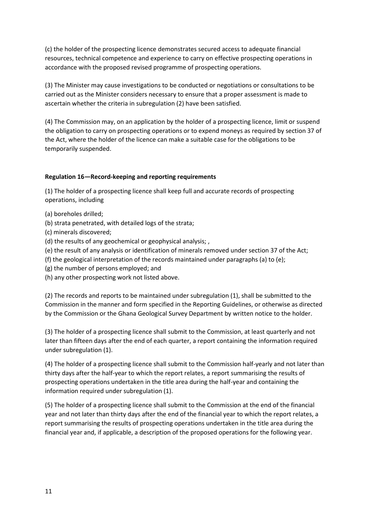(c) the holder of the prospecting licence demonstrates secured access to adequate financial resources, technical competence and experience to carry on effective prospecting operations in accordance with the proposed revised programme of prospecting operations.

(3) The Minister may cause investigations to be conducted or negotiations or consultations to be carried out as the Minister considers necessary to ensure that a proper assessment is made to ascertain whether the criteria in subregulation (2) have been satisfied.

(4) The Commission may, on an application by the holder of a prospecting licence, limit or suspend the obligation to carry on prospecting operations or to expend moneys as required by section 37 of the Act, where the holder of the licence can make a suitable case for the obligations to be temporarily suspended.

### **Regulation 16—Record-keeping and reporting requirements**

(1) The holder of a prospecting licence shall keep full and accurate records of prospecting operations, including

- (a) boreholes drilled;
- (b) strata penetrated, with detailed logs of the strata;
- (c) minerals discovered;
- (d) the results of any geochemical or geophysical analysis; ,
- (e) the result of any analysis or identification of minerals removed under section 37 of the Act;
- (f) the geological interpretation of the records maintained under paragraphs (a) to (e);
- (g) the number of persons employed; and
- (h) any other prospecting work not listed above.

(2) The records and reports to be maintained under subregulation (1), shall be submitted to the Commission in the manner and form specified in the Reporting Guidelines, or otherwise as directed by the Commission or the Ghana Geological Survey Department by written notice to the holder.

(3) The holder of a prospecting licence shall submit to the Commission, at least quarterly and not later than fifteen days after the end of each quarter, a report containing the information required under subregulation (1).

(4) The holder of a prospecting licence shall submit to the Commission half-yearly and not later than thirty days after the half-year to which the report relates, a report summarising the results of prospecting operations undertaken in the title area during the half-year and containing the information required under subregulation (1).

(5) The holder of a prospecting licence shall submit to the Commission at the end of the financial year and not later than thirty days after the end of the financial year to which the report relates, a report summarising the results of prospecting operations undertaken in the title area during the financial year and, if applicable, a description of the proposed operations for the following year.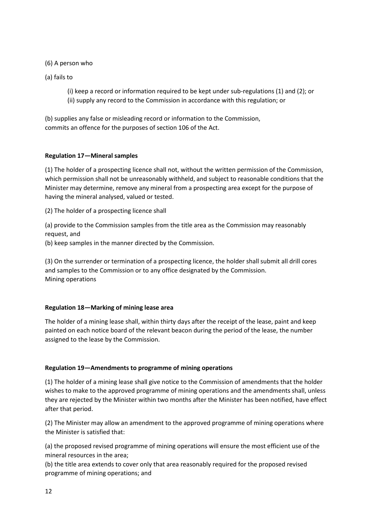(6) A person who

(a) fails to

(i) keep a record or information required to be kept under sub-regulations (1) and (2); or (ii) supply any record to the Commission in accordance with this regulation; or

(b) supplies any false or misleading record or information to the Commission, commits an offence for the purposes of section 106 of the Act.

### **Regulation 17—Mineral samples**

(1) The holder of a prospecting licence shall not, without the written permission of the Commission, which permission shall not be unreasonably withheld, and subject to reasonable conditions that the Minister may determine, remove any mineral from a prospecting area except for the purpose of having the mineral analysed, valued or tested.

(2) The holder of a prospecting licence shall

(a) provide to the Commission samples from the title area as the Commission may reasonably request, and

(b) keep samples in the manner directed by the Commission.

(3) On the surrender or termination of a prospecting licence, the holder shall submit all drill cores and samples to the Commission or to any office designated by the Commission. Mining operations

#### **Regulation 18—Marking of mining lease area**

The holder of a mining lease shall, within thirty days after the receipt of the lease, paint and keep painted on each notice board of the relevant beacon during the period of the lease, the number assigned to the lease by the Commission.

#### **Regulation 19—Amendments to programme of mining operations**

(1) The holder of a mining lease shall give notice to the Commission of amendments that the holder wishes to make to the approved programme of mining operations and the amendments shall, unless they are rejected by the Minister within two months after the Minister has been notified, have effect after that period.

(2) The Minister may allow an amendment to the approved programme of mining operations where the Minister is satisfied that:

(a) the proposed revised programme of mining operations will ensure the most efficient use of the mineral resources in the area;

(b) the title area extends to cover only that area reasonably required for the proposed revised programme of mining operations; and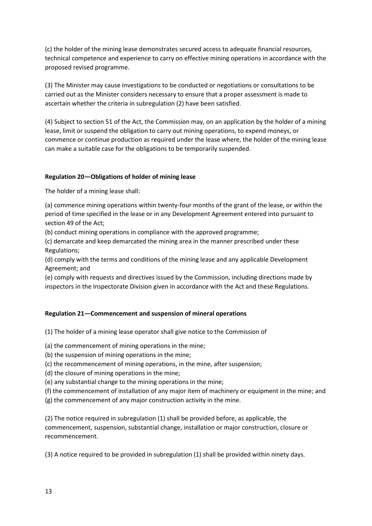(c) the holder of the mining lease demonstrates secured access to adequate financial resources, technical competence and experience to carry on effective mining operations in accordance with the proposed revised programme.

(3) The Minister may cause investigations to be conducted or negotiations or consultations to be carried out as the Minister considers necessary to ensure that a proper assessment is made to ascertain whether the criteria in subregulation (2) have been satisfied.

(4) Subject to section 51 of the Act, the Commission may, on an application by the holder of a mining lease, limit or suspend the obligation to carry out mining operations, to expend moneys, or commence or continue production as required under the lease where, the holder of the mining lease can make a suitable case for the obligations to be temporarily suspended.

### **Regulation 20—Obligations of holder of mining lease**

The holder of a mining lease shall:

(a) commence mining operations within twenty-four months of the grant of the lease, or within the period of time specified in the lease or in any Development Agreement entered into pursuant to section 49 of the Act;

(b) conduct mining operations in compliance with the approved programme;

(c) demarcate and keep demarcated the mining area in the manner prescribed under these Regulations;

(d) comply with the terms and conditions of the mining lease and any applicable Development Agreement; and

(e) comply with requests and directives issued by the Commission, including directions made by inspectors in the Inspectorate Division given in accordance with the Act and these Regulations.

### **Regulation 21—Commencement and suspension of mineral operations**

(1) The holder of a mining lease operator shall give notice to the Commission of

- (a) the commencement of mining operations in the mine;
- (b) the suspension of mining operations in the mine;
- (c) the recommencement of mining operations, in the mine, after suspension;
- (d) the closure of mining operations in the mine;
- (e) any substantial change to the mining operations in the mine;
- (f) the commencement of installation of any major item of machinery or equipment in the mine; and
- (g) the commencement of any major construction activity in the mine.

(2) The notice required in subregulation (1) shall be provided before, as applicable, the commencement, suspension, substantial change, installation or major construction, closure or recommencement.

(3) A notice required to be provided in subregulation (1) shall be provided within ninety days.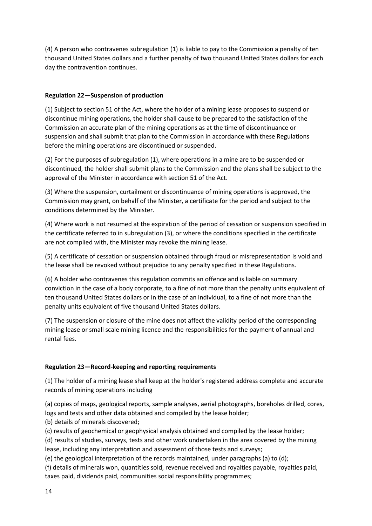(4) A person who contravenes subregulation (1) is liable to pay to the Commission a penalty of ten thousand United States dollars and a further penalty of two thousand United States dollars for each day the contravention continues.

### **Regulation 22—Suspension of production**

(1) Subject to section 51 of the Act, where the holder of a mining lease proposes to suspend or discontinue mining operations, the holder shall cause to be prepared to the satisfaction of the Commission an accurate plan of the mining operations as at the time of discontinuance or suspension and shall submit that plan to the Commission in accordance with these Regulations before the mining operations are discontinued or suspended.

(2) For the purposes of subregulation (1), where operations in a mine are to be suspended or discontinued, the holder shall submit plans to the Commission and the plans shall be subject to the approval of the Minister in accordance with section 51 of the Act.

(3) Where the suspension, curtailment or discontinuance of mining operations is approved, the Commission may grant, on behalf of the Minister, a certificate for the period and subject to the conditions determined by the Minister.

(4) Where work is not resumed at the expiration of the period of cessation or suspension specified in the certificate referred to in subregulation (3), or where the conditions specified in the certificate are not complied with, the Minister may revoke the mining lease.

(5) A certificate of cessation or suspension obtained through fraud or misrepresentation is void and the lease shall be revoked without prejudice to any penalty specified in these Regulations.

(6) A holder who contravenes this regulation commits an offence and is liable on summary conviction in the case of a body corporate, to a fine of not more than the penalty units equivalent of ten thousand United States dollars or in the case of an individual, to a fine of not more than the penalty units equivalent of five thousand United States dollars.

(7) The suspension or closure of the mine does not affect the validity period of the corresponding mining lease or small scale mining licence and the responsibilities for the payment of annual and rental fees.

## **Regulation 23—Record-keeping and reporting requirements**

(1) The holder of a mining lease shall keep at the holder's registered address complete and accurate records of mining operations including

(a) copies of maps, geological reports, sample analyses, aerial photographs, boreholes drilled, cores, logs and tests and other data obtained and compiled by the lease holder;

(b) details of minerals discovered;

(c) results of geochemical or geophysical analysis obtained and compiled by the lease holder;

(d) results of studies, surveys, tests and other work undertaken in the area covered by the mining lease, including any interpretation and assessment of those tests and surveys;

(e) the geological interpretation of the records maintained, under paragraphs (a) to (d);

(f) details of minerals won, quantities sold, revenue received and royalties payable, royalties paid, taxes paid, dividends paid, communities social responsibility programmes;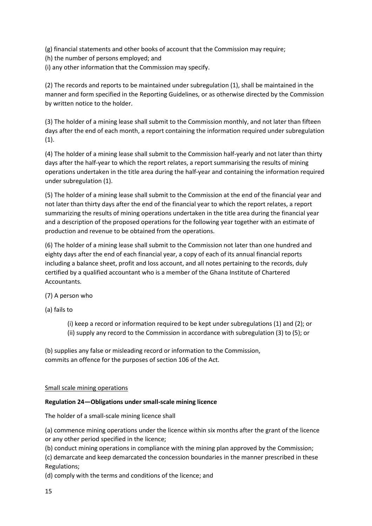(g) financial statements and other books of account that the Commission may require;

- (h) the number of persons employed; and
- (i) any other information that the Commission may specify.

(2) The records and reports to be maintained under subregulation (1), shall be maintained in the manner and form specified in the Reporting Guidelines, or as otherwise directed by the Commission by written notice to the holder.

(3) The holder of a mining lease shall submit to the Commission monthly, and not later than fifteen days after the end of each month, a report containing the information required under subregulation  $(1).$ 

(4) The holder of a mining lease shall submit to the Commission half-yearly and not later than thirty days after the half-year to which the report relates, a report summarising the results of mining operations undertaken in the title area during the half-year and containing the information required under subregulation (1).

(5) The holder of a mining lease shall submit to the Commission at the end of the financial year and not later than thirty days after the end of the financial year to which the report relates, a report summarizing the results of mining operations undertaken in the title area during the financial year and a description of the proposed operations for the following year together with an estimate of production and revenue to be obtained from the operations.

(6) The holder of a mining lease shall submit to the Commission not later than one hundred and eighty days after the end of each financial year, a copy of each of its annual financial reports including a balance sheet, profit and loss account, and all notes pertaining to the records, duly certified by a qualified accountant who is a member of the Ghana Institute of Chartered Accountants.

(7) A person who

(a) fails to

(i) keep a record or information required to be kept under subregulations (1) and (2); or (ii) supply any record to the Commission in accordance with subregulation (3) to (5); or

(b) supplies any false or misleading record or information to the Commission, commits an offence for the purposes of section 106 of the Act.

### Small scale mining operations

#### **Regulation 24—Obligations under small-scale mining licence**

The holder of a small-scale mining licence shall

(a) commence mining operations under the licence within six months after the grant of the licence or any other period specified in the licence;

(b) conduct mining operations in compliance with the mining plan approved by the Commission;

(c) demarcate and keep demarcated the concession boundaries in the manner prescribed in these Regulations;

(d) comply with the terms and conditions of the licence; and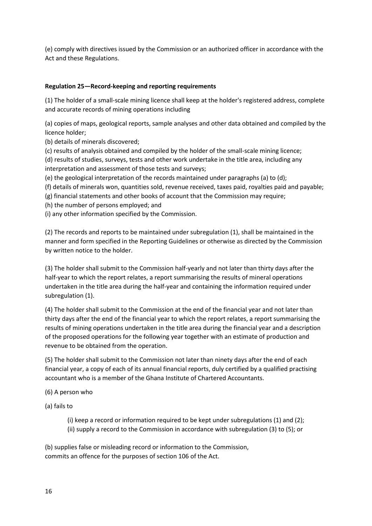(e) comply with directives issued by the Commission or an authorized officer in accordance with the Act and these Regulations.

### **Regulation 25—Record-keeping and reporting requirements**

(1) The holder of a small-scale mining licence shall keep at the holder's registered address, complete and accurate records of mining operations including

(a) copies of maps, geological reports, sample analyses and other data obtained and compiled by the licence holder;

(b) details of minerals discovered;

(c) results of analysis obtained and compiled by the holder of the small-scale mining licence;

(d) results of studies, surveys, tests and other work undertake in the title area, including any interpretation and assessment of those tests and surveys;

(e) the geological interpretation of the records maintained under paragraphs (a) to (d);

(f) details of minerals won, quantities sold, revenue received, taxes paid, royalties paid and payable;

(g) financial statements and other books of account that the Commission may require;

(h) the number of persons employed; and

(i) any other information specified by the Commission.

(2) The records and reports to be maintained under subregulation (1), shall be maintained in the manner and form specified in the Reporting Guidelines or otherwise as directed by the Commission by written notice to the holder.

(3) The holder shall submit to the Commission half-yearly and not later than thirty days after the half-year to which the report relates, a report summarising the results of mineral operations undertaken in the title area during the half-year and containing the information required under subregulation (1).

(4) The holder shall submit to the Commission at the end of the financial year and not later than thirty days after the end of the financial year to which the report relates, a report summarising the results of mining operations undertaken in the title area during the financial year and a description of the proposed operations for the following year together with an estimate of production and revenue to be obtained from the operation.

(5) The holder shall submit to the Commission not later than ninety days after the end of each financial year, a copy of each of its annual financial reports, duly certified by a qualified practising accountant who is a member of the Ghana Institute of Chartered Accountants.

(6) A person who

(a) fails to

(i) keep a record or information required to be kept under subregulations (1) and (2); (ii) supply a record to the Commission in accordance with subregulation (3) to (5); or

(b) supplies false or misleading record or information to the Commission, commits an offence for the purposes of section 106 of the Act.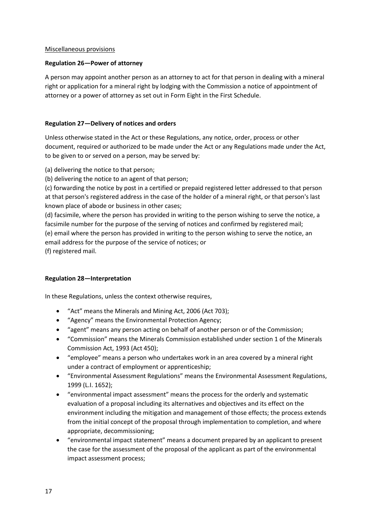#### Miscellaneous provisions

### **Regulation 26—Power of attorney**

A person may appoint another person as an attorney to act for that person in dealing with a mineral right or application for a mineral right by lodging with the Commission a notice of appointment of attorney or a power of attorney as set out in Form Eight in the First Schedule.

### **Regulation 27—Delivery of notices and orders**

Unless otherwise stated in the Act or these Regulations, any notice, order, process or other document, required or authorized to be made under the Act or any Regulations made under the Act, to be given to or served on a person, may be served by:

(a) delivering the notice to that person;

(b) delivering the notice to an agent of that person;

(c) forwarding the notice by post in a certified or prepaid registered letter addressed to that person at that person's registered address in the case of the holder of a mineral right, or that person's last known place of abode or business in other cases;

(d) facsimile, where the person has provided in writing to the person wishing to serve the notice, a facsimile number for the purpose of the serving of notices and confirmed by registered mail; (e) email where the person has provided in writing to the person wishing to serve the notice, an email address for the purpose of the service of notices; or

(f) registered mail.

### **Regulation 28—Interpretation**

In these Regulations, unless the context otherwise requires,

- "Act" means the Minerals and Mining Act, 2006 (Act 703);
- "Agency" means the Environmental Protection Agency;
- "agent" means any person acting on behalf of another person or of the Commission;
- "Commission" means the Minerals Commission established under section 1 of the Minerals Commission Act, 1993 (Act 450);
- "employee" means a person who undertakes work in an area covered by a mineral right under a contract of employment or apprenticeship;
- "Environmental Assessment Regulations" means the Environmental Assessment Regulations, 1999 (L.I. 1652);
- "environmental impact assessment" means the process for the orderly and systematic evaluation of a proposal including its alternatives and objectives and its effect on the environment including the mitigation and management of those effects; the process extends from the initial concept of the proposal through implementation to completion, and where appropriate, decommissioning;
- "environmental impact statement" means a document prepared by an applicant to present the case for the assessment of the proposal of the applicant as part of the environmental impact assessment process;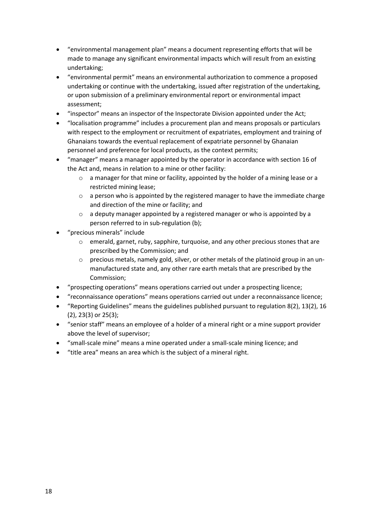- "environmental management plan" means a document representing efforts that will be made to manage any significant environmental impacts which will result from an existing undertaking;
- "environmental permit" means an environmental authorization to commence a proposed undertaking or continue with the undertaking, issued after registration of the undertaking, or upon submission of a preliminary environmental report or environmental impact assessment;
- "inspector" means an inspector of the Inspectorate Division appointed under the Act;
- "localisation programme" includes a procurement plan and means proposals or particulars with respect to the employment or recruitment of expatriates, employment and training of Ghanaians towards the eventual replacement of expatriate personnel by Ghanaian personnel and preference for local products, as the context permits;
- "manager" means a manager appointed by the operator in accordance with section 16 of the Act and, means in relation to a mine or other facility:
	- o a manager for that mine or facility, appointed by the holder of a mining lease or a restricted mining lease;
	- $\circ$  a person who is appointed by the registered manager to have the immediate charge and direction of the mine or facility; and
	- o a deputy manager appointed by a registered manager or who is appointed by a person referred to in sub-regulation (b);
- "precious minerals" include
	- o emerald, garnet, ruby, sapphire, turquoise, and any other precious stones that are prescribed by the Commission; and
	- $\circ$  precious metals, namely gold, silver, or other metals of the platinoid group in an unmanufactured state and, any other rare earth metals that are prescribed by the Commission;
- "prospecting operations" means operations carried out under a prospecting licence;
- "reconnaissance operations" means operations carried out under a reconnaissance licence;
- "Reporting Guidelines" means the guidelines published pursuant to regulation 8(2), 13(2), 16 (2), 23(3) or 25(3);
- "senior staff" means an employee of a holder of a mineral right or a mine support provider above the level of supervisor;
- "small-scale mine" means a mine operated under a small-scale mining licence; and
- "title area" means an area which is the subject of a mineral right.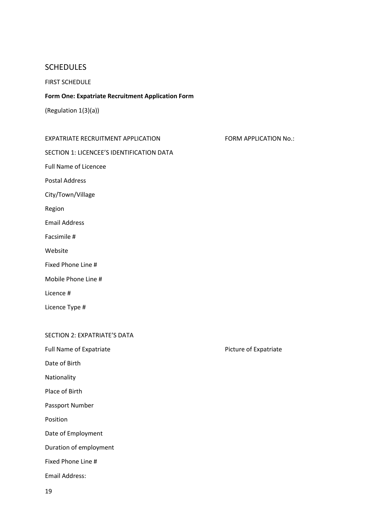# **SCHEDULES**

### FIRST SCHEDULE

### **Form One: Expatriate Recruitment Application Form**

(Regulation 1(3)(a))

| EXPATRIATE RECRUITMENT APPLICATION |  |
|------------------------------------|--|
|                                    |  |

SECTION 1: LICENCEE'S IDENTIFICATION DATA

FORM APPLICATION No.:

Full Name of Licencee

Postal Address

City/Town/Village

Region

Email Address

Facsimile #

Website

Fixed Phone Line #

Mobile Phone Line #

Licence #

Licence Type #

#### SECTION 2: EXPATRIATE'S DATA

Full Name of Expatriate **Picture of Expatriate** Picture of Expatriate

Date of Birth

Nationality

Place of Birth

Passport Number

Position

Date of Employment

Duration of employment

Fixed Phone Line #

Email Address: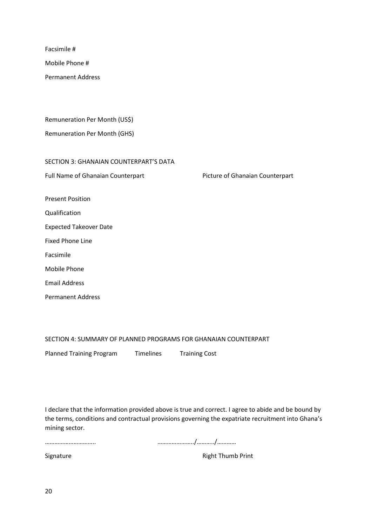Facsimile #

Mobile Phone #

Permanent Address

Remuneration Per Month (US\$)

Remuneration Per Month (GHS)

SECTION 3: GHANAIAN COUNTERPART'S DATA

Full Name of Ghanaian Counterpart Picture of Ghanaian Counterpart

Present Position

Qualification

Expected Takeover Date

Fixed Phone Line

Facsimile

Mobile Phone

Email Address

Permanent Address

SECTION 4: SUMMARY OF PLANNED PROGRAMS FOR GHANAIAN COUNTERPART

Planned Training Program Timelines Training Cost

I declare that the information provided above is true and correct. I agree to abide and be bound by the terms, conditions and contractual provisions governing the expatriate recruitment into Ghana's mining sector.

………………………….. …………………../………../…………

Signature Right Thumb Print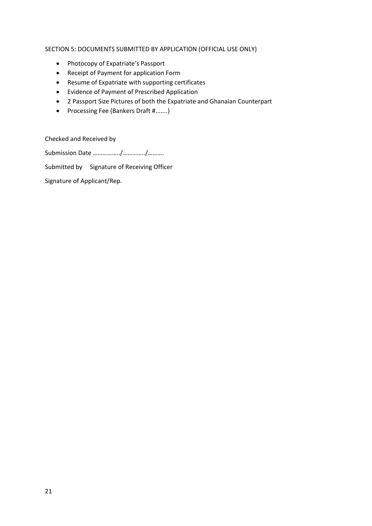### SECTION 5: DOCUMENTS SUBMITTED BY APPLICATION (OFFICIAL USE ONLY)

- Photocopy of Expatriate's Passport
- Receipt of Payment for application Form
- Resume of Expatriate with supporting certificates
- Evidence of Payment of Prescribed Application
- 2 Passport Size Pictures of both the Expatriate and Ghanaian Counterpart
- Processing Fee (Bankers Draft #.......)

Checked and Received by

Submission Date ……………../…………../……….

Submitted by Signature of Receiving Officer

Signature of Applicant/Rep.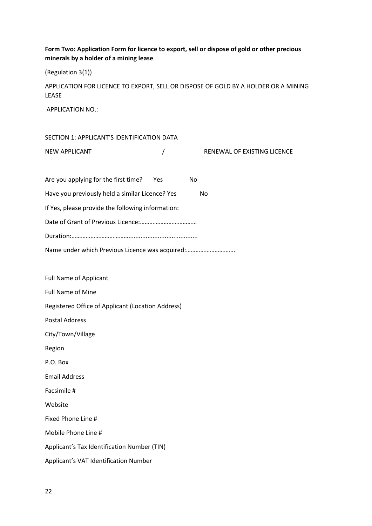## **Form Two: Application Form for licence to export, sell or dispose of gold or other precious minerals by a holder of a mining lease**

(Regulation 3(1))

APPLICATION FOR LICENCE TO EXPORT, SELL OR DISPOSE OF GOLD BY A HOLDER OR A MINING LEASE

APPLICATION NO.:

| SECTION 1: APPLICANT'S IDENTIFICATION DATA        |          |                             |
|---------------------------------------------------|----------|-----------------------------|
| <b>NEW APPLICANT</b>                              | $\prime$ | RENEWAL OF EXISTING LICENCE |
|                                                   |          |                             |
| Are you applying for the first time?              | Yes      | No                          |
| Have you previously held a similar Licence? Yes   |          | No                          |
| If Yes, please provide the following information: |          |                             |
|                                                   |          |                             |
|                                                   |          |                             |
| Name under which Previous Licence was acquired:   |          |                             |
|                                                   |          |                             |
| <b>Full Name of Applicant</b>                     |          |                             |
| <b>Full Name of Mine</b>                          |          |                             |
| Registered Office of Applicant (Location Address) |          |                             |
| <b>Postal Address</b>                             |          |                             |
| City/Town/Village                                 |          |                             |
| Region                                            |          |                             |
| P.O. Box                                          |          |                             |
| <b>Email Address</b>                              |          |                             |
| Facsimile #                                       |          |                             |
| Website                                           |          |                             |
| Fixed Phone Line #                                |          |                             |
| Mobile Phone Line #                               |          |                             |
| Applicant's Tax Identification Number (TIN)       |          |                             |
| Applicant's VAT Identification Number             |          |                             |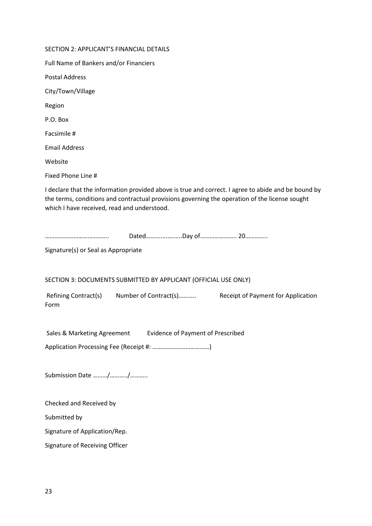| SECTION 2: APPLICANT'S FINANCIAL DETAILS                                                                                                                                                                                                             |
|------------------------------------------------------------------------------------------------------------------------------------------------------------------------------------------------------------------------------------------------------|
| Full Name of Bankers and/or Financiers                                                                                                                                                                                                               |
| <b>Postal Address</b>                                                                                                                                                                                                                                |
| City/Town/Village                                                                                                                                                                                                                                    |
| Region                                                                                                                                                                                                                                               |
| P.O. Box                                                                                                                                                                                                                                             |
| Facsimile #                                                                                                                                                                                                                                          |
| <b>Email Address</b>                                                                                                                                                                                                                                 |
| Website                                                                                                                                                                                                                                              |
| Fixed Phone Line #                                                                                                                                                                                                                                   |
| I declare that the information provided above is true and correct. I agree to abide and be bound by<br>the terms, conditions and contractual provisions governing the operation of the license sought<br>which I have received, read and understood. |
| Signature(s) or Seal as Appropriate                                                                                                                                                                                                                  |
| SECTION 3: DOCUMENTS SUBMITTED BY APPLICANT (OFFICIAL USE ONLY)                                                                                                                                                                                      |
| Refining Contract(s) Number of Contract(s)<br>Receipt of Payment for Application<br>Form                                                                                                                                                             |
| Sales & Marketing Agreement<br><b>Evidence of Payment of Prescribed</b>                                                                                                                                                                              |
|                                                                                                                                                                                                                                                      |
| Submission Date //                                                                                                                                                                                                                                   |
| Checked and Received by                                                                                                                                                                                                                              |
| Submitted by                                                                                                                                                                                                                                         |
| Signature of Application/Rep.                                                                                                                                                                                                                        |
| Signature of Receiving Officer                                                                                                                                                                                                                       |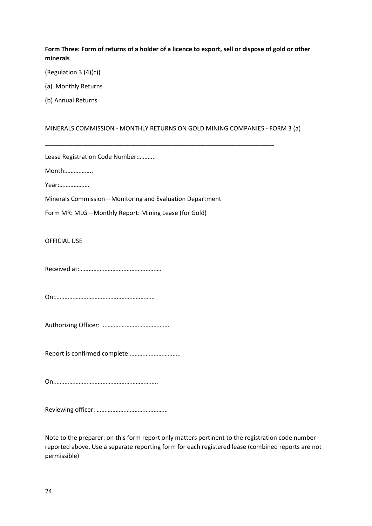### **Form Three: Form of returns of a holder of a licence to export, sell or dispose of gold or other minerals**

(Regulation 3 (4)(c))

(a) Monthly Returns

(b) Annual Returns

### MINERALS COMMISSION - MONTHLY RETURNS ON GOLD MINING COMPANIES - FORM 3 (a)

\_\_\_\_\_\_\_\_\_\_\_\_\_\_\_\_\_\_\_\_\_\_\_\_\_\_\_\_\_\_\_\_\_\_\_\_\_\_\_\_\_\_\_\_\_\_\_\_\_\_\_\_\_\_\_\_\_\_\_\_\_\_\_\_\_\_\_

|  |  | Lease Registration Code Number: |
|--|--|---------------------------------|
|--|--|---------------------------------|

Month:……………..

Year:……………….

Minerals Commission—Monitoring and Evaluation Department

Form MR: MLG—Monthly Report: Mining Lease (for Gold)

OFFICIAL USE

Received at:…………………………………………….

On:………………………………………………………

Authorizing Officer: …………………………………….

Report is confirmed complete:…………………………..

On:………………………………………………………..

Reviewing officer: ………………………………………

Note to the preparer: on this form report only matters pertinent to the registration code number reported above. Use a separate reporting form for each registered lease (combined reports are not permissible)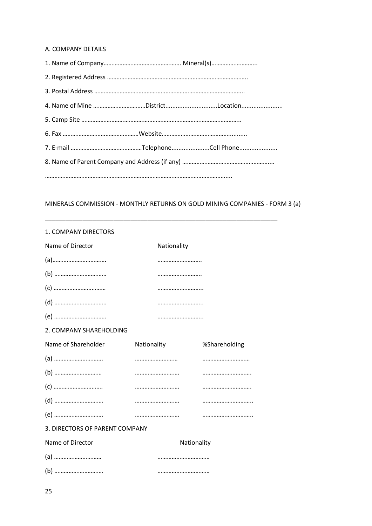### A. COMPANY DETAILS

| 4. Name of Mine DistrictLocation |  |  |
|----------------------------------|--|--|
|                                  |  |  |
|                                  |  |  |
|                                  |  |  |
|                                  |  |  |
|                                  |  |  |

# MINERALS COMMISSION - MONTHLY RETURNS ON GOLD MINING COMPANIES - FORM 3 (a)

\_\_\_\_\_\_\_\_\_\_\_\_\_\_\_\_\_\_\_\_\_\_\_\_\_\_\_\_\_\_\_\_\_\_\_\_\_\_\_\_\_\_\_\_\_\_\_\_\_\_\_\_\_\_\_\_\_\_\_\_\_\_\_\_\_\_\_\_

| 1. COMPANY DIRECTORS           |             |               |  |  |  |
|--------------------------------|-------------|---------------|--|--|--|
| Name of Director               | Nationality |               |  |  |  |
|                                |             |               |  |  |  |
|                                |             |               |  |  |  |
|                                |             |               |  |  |  |
|                                |             |               |  |  |  |
|                                |             |               |  |  |  |
| 2. COMPANY SHAREHOLDING        |             |               |  |  |  |
| Name of Shareholder            | Nationality | %Shareholding |  |  |  |
|                                |             |               |  |  |  |
|                                |             |               |  |  |  |
|                                |             |               |  |  |  |
|                                |             |               |  |  |  |
|                                |             |               |  |  |  |
| 3. DIRECTORS OF PARENT COMPANY |             |               |  |  |  |
| Name of Director               | Nationality |               |  |  |  |
|                                |             |               |  |  |  |
|                                |             |               |  |  |  |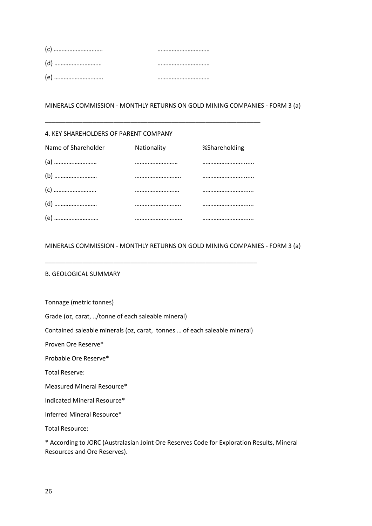#### 4. KEY SHAREHOLDERS OF PARENT COMPANY

| Name of Shareholder | Nationality | %Shareholding |
|---------------------|-------------|---------------|
|                     |             |               |
|                     |             |               |
|                     |             |               |
|                     |             |               |
|                     |             |               |

\_\_\_\_\_\_\_\_\_\_\_\_\_\_\_\_\_\_\_\_\_\_\_\_\_\_\_\_\_\_\_\_\_\_\_\_\_\_\_\_\_\_\_\_\_\_\_\_\_\_\_\_\_\_\_\_\_\_\_\_\_\_\_

### MINERALS COMMISSION - MONTHLY RETURNS ON GOLD MINING COMPANIES - FORM 3 (a)

#### B. GEOLOGICAL SUMMARY

Tonnage (metric tonnes)

Grade (oz, carat, ../tonne of each saleable mineral)

Contained saleable minerals (oz, carat, tonnes … of each saleable mineral)

\_\_\_\_\_\_\_\_\_\_\_\_\_\_\_\_\_\_\_\_\_\_\_\_\_\_\_\_\_\_\_\_\_\_\_\_\_\_\_\_\_\_\_\_\_\_\_\_\_\_\_\_\_\_\_\_\_\_\_\_\_\_

Proven Ore Reserve\*

Probable Ore Reserve\*

Total Reserve:

Measured Mineral Resource\*

Indicated Mineral Resource\*

Inferred Mineral Resource\*

Total Resource:

\* According to JORC (Australasian Joint Ore Reserves Code for Exploration Results, Mineral Resources and Ore Reserves).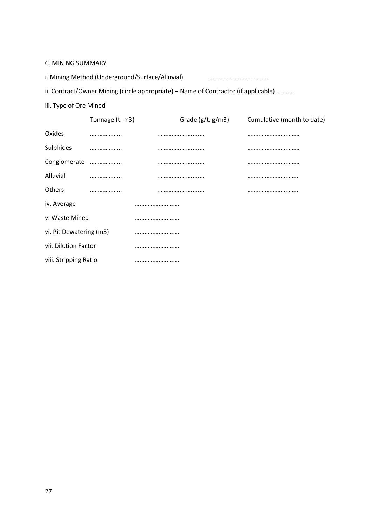C. MINING SUMMARY

i. Mining Method (Underground/Surface/Alluvial) ……………………………………………………………………………………

ii. Contract/Owner Mining (circle appropriate) – Name of Contractor (if applicable) ………..

iii. Type of Ore Mined

|                          | Tonnage (t. m3) | Grade $(g/t. g/m3)$ | Cumulative (month to date) |
|--------------------------|-----------------|---------------------|----------------------------|
| Oxides                   |                 |                     |                            |
| Sulphides                |                 |                     |                            |
| Conglomerate             |                 |                     |                            |
| Alluvial                 |                 |                     |                            |
| <b>Others</b>            |                 |                     |                            |
| iv. Average              |                 |                     |                            |
| v. Waste Mined           |                 |                     |                            |
| vi. Pit Dewatering (m3)  |                 |                     |                            |
| vii. Dilution Factor<br> |                 |                     |                            |
| viii. Stripping Ratio    |                 |                     |                            |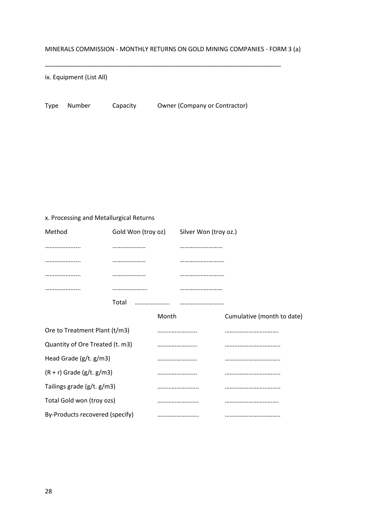\_\_\_\_\_\_\_\_\_\_\_\_\_\_\_\_\_\_\_\_\_\_\_\_\_\_\_\_\_\_\_\_\_\_\_\_\_\_\_\_\_\_\_\_\_\_\_\_\_\_\_\_\_\_\_\_\_\_\_\_\_\_\_\_\_\_\_\_\_

ix. Equipment (List All)

Type Number Capacity Owner (Company or Contractor)

x. Processing and Metallurgical Returns

| Method                          |       | Gold Won (troy oz) |       | Silver Won (troy oz.) |                            |
|---------------------------------|-------|--------------------|-------|-----------------------|----------------------------|
|                                 |       |                    |       |                       |                            |
|                                 |       |                    |       |                       |                            |
|                                 |       |                    |       |                       |                            |
|                                 |       |                    |       |                       |                            |
|                                 | Total |                    |       |                       |                            |
|                                 |       |                    | Month |                       | Cumulative (month to date) |
| Ore to Treatment Plant (t/m3)   |       |                    |       |                       |                            |
| Quantity of Ore Treated (t. m3) |       |                    |       |                       |                            |
| Head Grade $(g/t. g/m3)$        |       |                    |       |                       |                            |
| $(R + r)$ Grade (g/t. g/m3)     |       |                    |       |                       |                            |
| Tailings grade (g/t. g/m3)      |       |                    |       |                       |                            |
| Total Gold won (troy ozs)       |       |                    |       |                       |                            |
| By-Products recovered (specify) |       |                    |       |                       |                            |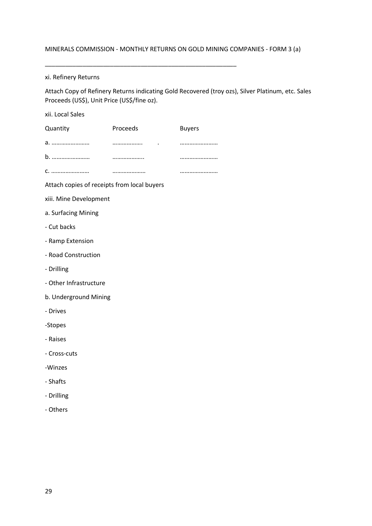\_\_\_\_\_\_\_\_\_\_\_\_\_\_\_\_\_\_\_\_\_\_\_\_\_\_\_\_\_\_\_\_\_\_\_\_\_\_\_\_\_\_\_\_\_\_\_\_\_\_\_\_\_\_\_\_

### xi. Refinery Returns

Attach Copy of Refinery Returns indicating Gold Recovered (troy ozs), Silver Platinum, etc. Sales Proceeds (US\$), Unit Price (US\$/fine oz).

| xii. Local Sales                            |          |               |
|---------------------------------------------|----------|---------------|
| Quantity                                    | Proceeds | <b>Buyers</b> |
| a.                                          |          |               |
|                                             |          |               |
|                                             |          |               |
| Attach copies of receipts from local buyers |          |               |
| xiii. Mine Development                      |          |               |
| a. Surfacing Mining                         |          |               |
| - Cut backs                                 |          |               |
| - Ramp Extension                            |          |               |
| - Road Construction                         |          |               |
| - Drilling                                  |          |               |
| - Other Infrastructure                      |          |               |
| b. Underground Mining                       |          |               |
| - Drives                                    |          |               |
| -Stopes                                     |          |               |
| - Raises                                    |          |               |
| - Cross-cuts                                |          |               |
| -Winzes                                     |          |               |
| - Shafts                                    |          |               |
| - Drilling                                  |          |               |
| - Others                                    |          |               |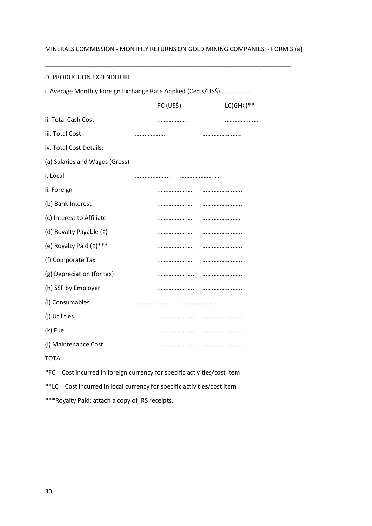\_\_\_\_\_\_\_\_\_\_\_\_\_\_\_\_\_\_\_\_\_\_\_\_\_\_\_\_\_\_\_\_\_\_\_\_\_\_\_\_\_\_\_\_\_\_\_\_\_\_\_\_\_\_\_\_\_\_\_\_\_\_\_\_\_\_\_\_\_\_\_\_

#### D. PRODUCTION EXPENDITURE

| i. Average Monthly Foreign Exchange Rate Applied (Cedis/US\$) |           |              |  |  |  |
|---------------------------------------------------------------|-----------|--------------|--|--|--|
|                                                               | FC (US\$) | $LC(GHC)$ ** |  |  |  |
| ii. Total Cash Cost                                           |           |              |  |  |  |
| iii. Total Cost                                               |           |              |  |  |  |
| iv. Total Cost Details:                                       |           |              |  |  |  |
| (a) Salaries and Wages (Gross)                                |           |              |  |  |  |
| i. Local                                                      |           |              |  |  |  |
| ii. Foreign                                                   |           |              |  |  |  |
| (b) Bank Interest                                             |           |              |  |  |  |
| (c) Interest to Affiliate                                     |           |              |  |  |  |
| (d) Royalty Payable (¢)                                       |           |              |  |  |  |
| (e) Royalty Paid (c)***                                       |           |              |  |  |  |
| (f) Comporate Tax                                             |           |              |  |  |  |
| (g) Depreciation (for tax)                                    |           |              |  |  |  |
| (h) SSF by Employer                                           |           |              |  |  |  |
| (i) Consumables                                               |           |              |  |  |  |
| (j) Utilities                                                 |           |              |  |  |  |
| (k) Fuel                                                      |           |              |  |  |  |
| (I) Maintenance Cost                                          |           |              |  |  |  |
| <b>TOTAL</b>                                                  |           |              |  |  |  |

\*FC = Cost incurred in foreign currency for specific activities/cost item

\*\*LC = Cost incurred in local currency for specific activities/cost item

\*\*\*Royalty Paid: attach a copy of IRS receipts.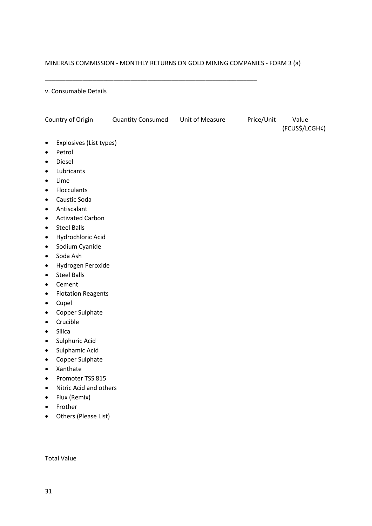\_\_\_\_\_\_\_\_\_\_\_\_\_\_\_\_\_\_\_\_\_\_\_\_\_\_\_\_\_\_\_\_\_\_\_\_\_\_\_\_\_\_\_\_\_\_\_\_\_\_\_\_\_\_\_\_\_\_\_\_\_\_

#### v. Consumable Details

| Country of Origin                      | <b>Quantity Consumed</b> | Unit of Measure | Price/Unit | Value<br>(FCUS\$/LCGH¢) |
|----------------------------------------|--------------------------|-----------------|------------|-------------------------|
| Explosives (List types)<br>٠           |                          |                 |            |                         |
| Petrol<br>$\bullet$                    |                          |                 |            |                         |
| Diesel<br>$\bullet$                    |                          |                 |            |                         |
| Lubricants<br>٠                        |                          |                 |            |                         |
| Lime<br>$\bullet$                      |                          |                 |            |                         |
| Flocculants<br>$\bullet$               |                          |                 |            |                         |
| Caustic Soda<br>$\bullet$              |                          |                 |            |                         |
| Antiscalant<br>٠                       |                          |                 |            |                         |
| <b>Activated Carbon</b><br>$\bullet$   |                          |                 |            |                         |
| <b>Steel Balls</b><br>$\bullet$        |                          |                 |            |                         |
| Hydrochloric Acid<br>$\bullet$         |                          |                 |            |                         |
| Sodium Cyanide<br>$\bullet$            |                          |                 |            |                         |
| Soda Ash<br>$\bullet$                  |                          |                 |            |                         |
| Hydrogen Peroxide<br>$\bullet$         |                          |                 |            |                         |
| <b>Steel Balls</b><br>$\bullet$        |                          |                 |            |                         |
| Cement<br>$\bullet$                    |                          |                 |            |                         |
| <b>Flotation Reagents</b><br>$\bullet$ |                          |                 |            |                         |
| Cupel<br>$\bullet$                     |                          |                 |            |                         |
| Copper Sulphate<br>$\bullet$           |                          |                 |            |                         |
| Crucible<br>$\bullet$                  |                          |                 |            |                         |
| Silica<br>$\bullet$                    |                          |                 |            |                         |
| Sulphuric Acid<br>$\bullet$            |                          |                 |            |                         |
| Sulphamic Acid<br>$\bullet$            |                          |                 |            |                         |
| Copper Sulphate<br>$\bullet$           |                          |                 |            |                         |
| Xanthate<br>$\bullet$                  |                          |                 |            |                         |
| Promoter TSS 815<br>$\bullet$          |                          |                 |            |                         |
| Nitric Acid and others                 |                          |                 |            |                         |
| Flux (Remix)<br>$\bullet$              |                          |                 |            |                         |
| Frother<br>$\bullet$                   |                          |                 |            |                         |
| Others (Please List)<br>$\bullet$      |                          |                 |            |                         |
|                                        |                          |                 |            |                         |
|                                        |                          |                 |            |                         |

Total Value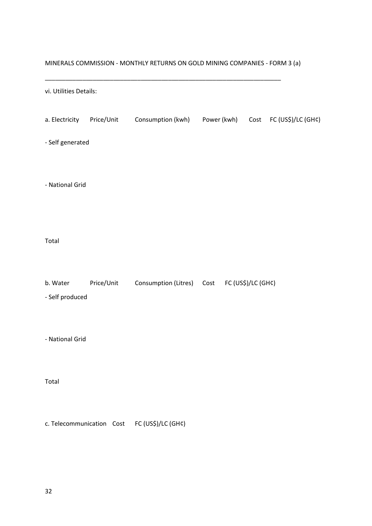| vi. Utilities Details:      |            |                                                       |  |  |
|-----------------------------|------------|-------------------------------------------------------|--|--|
| a. Electricity              | Price/Unit | Consumption (kwh) Power (kwh) Cost FC (US\$)/LC (GH¢) |  |  |
| - Self generated            |            |                                                       |  |  |
| - National Grid             |            |                                                       |  |  |
| Total                       |            |                                                       |  |  |
| b. Water<br>- Self produced | Price/Unit | Consumption (Litres)  Cost  FC (US\$)/LC (GH¢)        |  |  |
| - National Grid             |            |                                                       |  |  |
| Total                       |            |                                                       |  |  |
|                             |            | c. Telecommunication Cost FC (US\$)/LC (GH¢)          |  |  |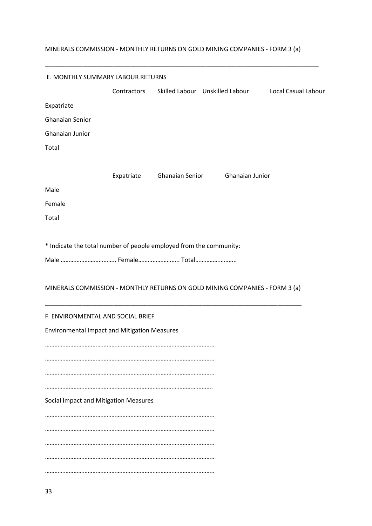\_\_\_\_\_\_\_\_\_\_\_\_\_\_\_\_\_\_\_\_\_\_\_\_\_\_\_\_\_\_\_\_\_\_\_\_\_\_\_\_\_\_\_\_\_\_\_\_\_\_\_\_\_\_\_\_\_\_\_\_\_\_\_\_\_\_\_\_\_\_\_\_\_\_\_\_\_\_\_\_

| E. MONTHLY SUMMARY LABOUR RETURNS                                  |             |                            |                                                                             |                     |
|--------------------------------------------------------------------|-------------|----------------------------|-----------------------------------------------------------------------------|---------------------|
|                                                                    | Contractors |                            | Skilled Labour Unskilled Labour                                             | Local Casual Labour |
| Expatriate                                                         |             |                            |                                                                             |                     |
| <b>Ghanaian Senior</b>                                             |             |                            |                                                                             |                     |
| Ghanaian Junior                                                    |             |                            |                                                                             |                     |
| Total                                                              |             |                            |                                                                             |                     |
|                                                                    |             |                            |                                                                             |                     |
|                                                                    |             | Expatriate Ghanaian Senior | Ghanaian Junior                                                             |                     |
| Male                                                               |             |                            |                                                                             |                     |
| Female                                                             |             |                            |                                                                             |                     |
| Total                                                              |             |                            |                                                                             |                     |
|                                                                    |             |                            |                                                                             |                     |
| * Indicate the total number of people employed from the community: |             |                            |                                                                             |                     |
| Male  Female Total                                                 |             |                            |                                                                             |                     |
|                                                                    |             |                            | MINERALS COMMISSION - MONTHLY RETURNS ON GOLD MINING COMPANIES - FORM 3 (a) |                     |
| F. ENVIRONMENTAL AND SOCIAL BRIEF                                  |             |                            |                                                                             |                     |
| <b>Environmental Impact and Mitigation Measures</b>                |             |                            |                                                                             |                     |
|                                                                    |             |                            |                                                                             |                     |
|                                                                    |             |                            |                                                                             |                     |
|                                                                    |             |                            |                                                                             |                     |
|                                                                    |             |                            |                                                                             |                     |
| Social Impact and Mitigation Measures                              |             |                            |                                                                             |                     |
|                                                                    |             |                            |                                                                             |                     |
|                                                                    |             |                            |                                                                             |                     |
|                                                                    |             |                            |                                                                             |                     |
|                                                                    |             |                            |                                                                             |                     |
|                                                                    |             |                            |                                                                             |                     |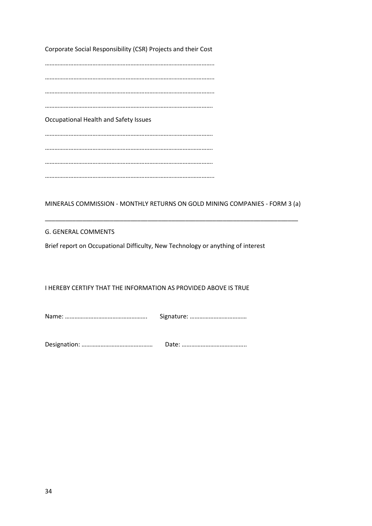Corporate Social Responsibility (CSR) Projects and their Cost

…………………………………………………………………………………………….. …………………………………………………………………………………………….. …………………………………………………………………………………………….. ……………………………………………………………………………………………. Occupational Health and Safety Issues ……………………………………………………………………………………………. ……………………………………………………………………………………………. ……………………………………………………………………………………………. ……………………………………………………………………………………………..

MINERALS COMMISSION - MONTHLY RETURNS ON GOLD MINING COMPANIES - FORM 3 (a)

\_\_\_\_\_\_\_\_\_\_\_\_\_\_\_\_\_\_\_\_\_\_\_\_\_\_\_\_\_\_\_\_\_\_\_\_\_\_\_\_\_\_\_\_\_\_\_\_\_\_\_\_\_\_\_\_\_\_\_\_\_\_\_\_\_\_\_\_\_\_\_\_\_\_

### G. GENERAL COMMENTS

Brief report on Occupational Difficulty, New Technology or anything of interest

### I HEREBY CERTIFY THAT THE INFORMATION AS PROVIDED ABOVE IS TRUE

Name: ……………………………………………. Signature: ………………………………

Designation: ……………………………………… Date: …………………………………..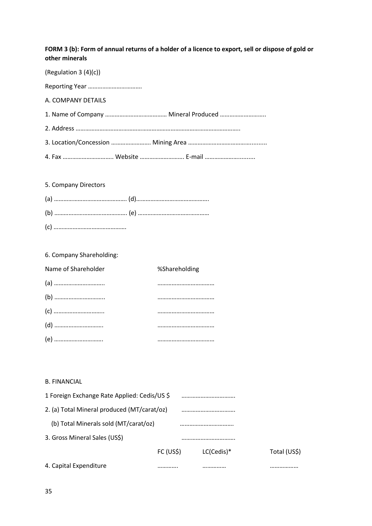### **FORM 3 (b): Form of annual returns of a holder of a licence to export, sell or dispose of gold or other minerals**

(Regulation 3 (4)(c))

Reporting Year ………………………………

A. COMPANY DETAILS

1. Name of Company ………………………………… Mineral Produced ………………………..

2. Address …………………………………………………………………………………………..

3. Location/Concession ……………………. Mining Area …………………………………..........

4. Fax ………………………….. Website ………………………. E-mail …………………..........

### 5. Company Directors

### 6. Company Shareholding:

| Name of Shareholder | %Shareholding |
|---------------------|---------------|
|                     |               |
|                     |               |
|                     |               |
|                     |               |
|                     |               |

### B. FINANCIAL

| 1 Foreign Exchange Rate Applied: Cedis/US \$ |                       |            |              |
|----------------------------------------------|-----------------------|------------|--------------|
| 2. (a) Total Mineral produced (MT/carat/oz)  |                       |            |              |
| (b) Total Minerals sold (MT/carat/oz)        |                       |            |              |
| 3. Gross Mineral Sales (US\$)                |                       |            |              |
|                                              | FC (US <sub>5</sub> ) | LC(Cedis)* | Total (US\$) |
| 4. Capital Expenditure                       |                       |            | .            |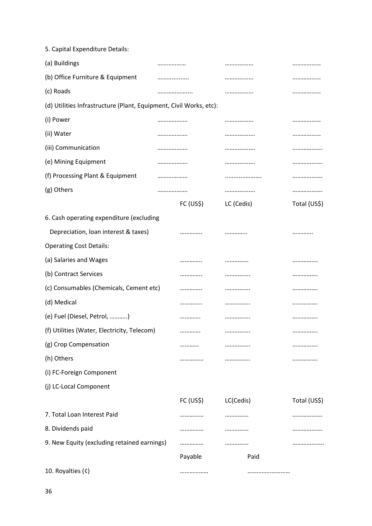| 5. Capital Expenditure Details:                                    |           |            |              |
|--------------------------------------------------------------------|-----------|------------|--------------|
| (a) Buildings                                                      |           |            |              |
| (b) Office Furniture & Equipment                                   |           |            |              |
| (c) Roads                                                          |           |            |              |
| (d) Utilities Infrastructure (Plant, Equipment, Civil Works, etc): |           |            |              |
| (i) Power                                                          |           |            |              |
| (ii) Water                                                         |           |            |              |
| (iii) Communication                                                |           |            |              |
| (e) Mining Equipment                                               |           |            |              |
| (f) Processing Plant & Equipment                                   |           |            |              |
| (g) Others                                                         |           |            |              |
|                                                                    | FC (US\$) | LC (Cedis) | Total (US\$) |
| 6. Cash operating expenditure (excluding                           |           |            |              |
| Depreciation, loan interest & taxes)                               |           |            |              |
| <b>Operating Cost Details:</b>                                     |           |            |              |
| (a) Salaries and Wages                                             |           |            |              |
| (b) Contract Services                                              |           |            |              |
| (c) Consumables (Chemicals, Cement etc)                            |           |            |              |
| (d) Medical                                                        |           |            |              |
| (e) Fuel (Diesel, Petrol, )                                        |           |            |              |
| (f) Utilities (Water, Electricity, Telecom)                        |           |            |              |
| (g) Crop Compensation                                              |           | .          |              |
| (h) Others                                                         |           | .          |              |
| (i) FC-Foreign Component                                           |           |            |              |
| (j) LC-Local Component                                             |           |            |              |
|                                                                    | FC (US\$) | LC(Cedis)  | Total (US\$) |
| 7. Total Loan Interest Paid                                        |           |            | .            |
| 8. Dividends paid                                                  |           |            |              |
| 9. New Equity (excluding retained earnings)                        |           | .          |              |
|                                                                    | Payable   | Paid       |              |
| 10. Royalties (¢)                                                  |           |            |              |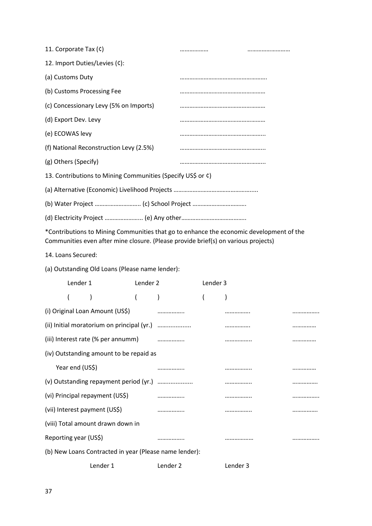| 11. Corporate Tax (¢)                                       | <br> |
|-------------------------------------------------------------|------|
| 12. Import Duties/Levies (¢):                               |      |
| (a) Customs Duty                                            |      |
| (b) Customs Processing Fee                                  |      |
| (c) Concessionary Levy (5% on Imports)                      |      |
| (d) Export Dev. Levy                                        |      |
| (e) ECOWAS levy                                             |      |
| (f) National Reconstruction Levy (2.5%)                     |      |
| (g) Others (Specify)                                        |      |
| 13. Contributions to Mining Communities (Specify US\$ or ¢) |      |
|                                                             |      |
|                                                             |      |
|                                                             |      |

\*Contributions to Mining Communities that go to enhance the economic development of the Communities even after mine closure. (Please provide brief(s) on various projects)

14. Loans Secured:

(a) Outstanding Old Loans (Please name lender):

|                                        | Lender 1              |                                                        | Lender 2 |   | Lender 3 |   |  |
|----------------------------------------|-----------------------|--------------------------------------------------------|----------|---|----------|---|--|
|                                        |                       |                                                        |          |   |          |   |  |
|                                        |                       | (i) Original Loan Amount (US\$)                        |          |   |          |   |  |
|                                        |                       |                                                        |          |   |          | . |  |
|                                        |                       |                                                        |          |   |          |   |  |
|                                        |                       | (iv) Outstanding amount to be repaid as                |          |   |          |   |  |
| Year end (US\$)                        |                       |                                                        |          |   |          |   |  |
| (v) Outstanding repayment period (yr.) |                       |                                                        |          |   |          |   |  |
|                                        |                       | (vi) Principal repayment (US\$)                        |          | . |          |   |  |
|                                        |                       | (vii) Interest payment (US\$)                          |          |   |          |   |  |
|                                        |                       | (viii) Total amount drawn down in                      |          |   |          |   |  |
|                                        | Reporting year (US\$) |                                                        |          |   |          |   |  |
|                                        |                       | (b) New Loans Contracted in year (Please name lender): |          |   |          |   |  |
|                                        |                       |                                                        |          |   |          |   |  |

Lender 1 Lender 2 Lender 3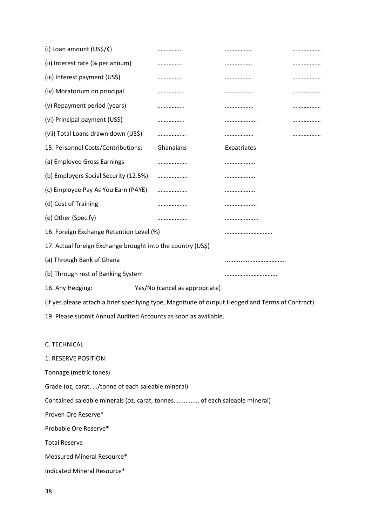| (i) Loan amount (US\$/¢)                                                                          |                                |             |  |  |  |  |
|---------------------------------------------------------------------------------------------------|--------------------------------|-------------|--|--|--|--|
| (ii) Interest rate (% per annum)                                                                  |                                |             |  |  |  |  |
| (iii) Interest payment (US\$)                                                                     |                                |             |  |  |  |  |
| (iv) Moratorium on principal                                                                      |                                |             |  |  |  |  |
| (v) Repayment period (years)                                                                      |                                |             |  |  |  |  |
| (vi) Principal payment (US\$)                                                                     | .                              |             |  |  |  |  |
| (vii) Total Loans drawn down (US\$)                                                               |                                |             |  |  |  |  |
| 15. Personnel Costs/Contributions:                                                                | Ghanaians                      | Expatriates |  |  |  |  |
| (a) Employee Gross Earnings                                                                       |                                |             |  |  |  |  |
| (b) Employers Social Security (12.5%)                                                             |                                |             |  |  |  |  |
| (c) Employee Pay As You Earn (PAYE)                                                               |                                |             |  |  |  |  |
| (d) Cost of Training                                                                              |                                |             |  |  |  |  |
| (e) Other (Specify)                                                                               |                                |             |  |  |  |  |
| 16. Foreign Exchange Retention Level (%)                                                          |                                |             |  |  |  |  |
| 17. Actual foreign Exchange brought into the country (US\$)                                       |                                |             |  |  |  |  |
| (a) Through Bank of Ghana                                                                         |                                |             |  |  |  |  |
| (b) Through rest of Banking System                                                                |                                |             |  |  |  |  |
| 18. Any Hedging:                                                                                  | Yes/No (cancel as appropriate) |             |  |  |  |  |
| (If yes please attach a brief specifying type, Magnitude of output Hedged and Terms of Contract). |                                |             |  |  |  |  |
| 19. Please submit Annual Audited Accounts as soon as available.                                   |                                |             |  |  |  |  |
|                                                                                                   |                                |             |  |  |  |  |
| C. TECHNICAL                                                                                      |                                |             |  |  |  |  |
| 1. RESERVE POSITION:                                                                              |                                |             |  |  |  |  |
| Tonnage (metric tones)                                                                            |                                |             |  |  |  |  |
| Grade (oz, carat, /tonne of each saleable mineral)                                                |                                |             |  |  |  |  |
| Contained saleable minerals (oz, carat, tonnes of each saleable mineral)                          |                                |             |  |  |  |  |
| Proven Ore Reserve*                                                                               |                                |             |  |  |  |  |
| Probable Ore Reserve*                                                                             |                                |             |  |  |  |  |
| <b>Total Reserve</b>                                                                              |                                |             |  |  |  |  |
| Measured Mineral Resource*                                                                        |                                |             |  |  |  |  |
| Indicated Mineral Resource*                                                                       |                                |             |  |  |  |  |
|                                                                                                   |                                |             |  |  |  |  |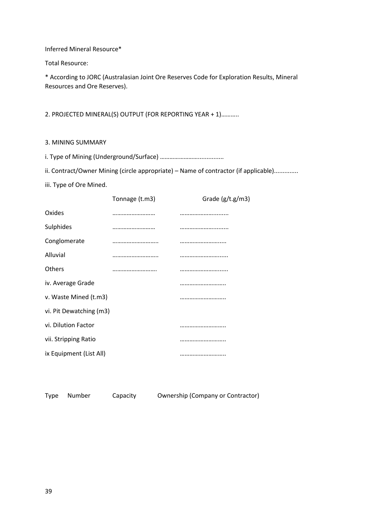Inferred Mineral Resource\*

Total Resource:

\* According to JORC (Australasian Joint Ore Reserves Code for Exploration Results, Mineral Resources and Ore Reserves).

2. PROJECTED MINERAL(S) OUTPUT (FOR REPORTING YEAR + 1)………..

- 3. MINING SUMMARY
- i. Type of Mining (Underground/Surface) ……………………...............

ii. Contract/Owner Mining (circle appropriate) – Name of contractor (if applicable)..............

iii. Type of Ore Mined.

|                         | Tonnage (t.m3) | Grade $(g/t.g/m3)$ |
|-------------------------|----------------|--------------------|
| Oxides                  |                |                    |
| Sulphides               |                |                    |
| Conglomerate            |                |                    |
| Alluvial                |                |                    |
| <b>Others</b>           |                |                    |
| iv. Average Grade       |                |                    |
| v. Waste Mined (t.m3)   |                |                    |
| vi. Pit Dewatching (m3) |                |                    |
| vi. Dilution Factor     |                |                    |
| vii. Stripping Ratio    |                |                    |
| ix Equipment (List All) |                |                    |

Type Number Capacity Ownership (Company or Contractor)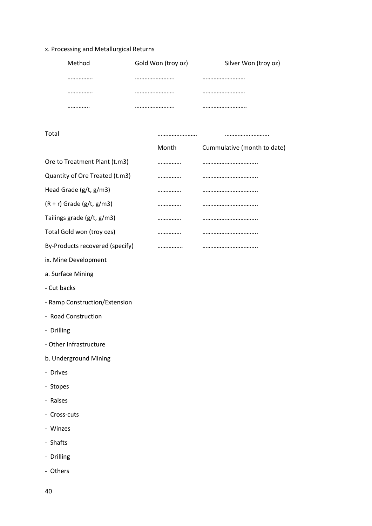# x. Processing and Metallurgical Returns

| <br><br> |
|----------|
| <br><br> |
| <br><br> |

Total ……………………. ……………………….

|                                 | Month | Cummulative (month to date) |
|---------------------------------|-------|-----------------------------|
| Ore to Treatment Plant (t.m3)   |       |                             |
| Quantity of Ore Treated (t.m3)  |       |                             |
| Head Grade (g/t, g/m3)          |       |                             |
| $(R + r)$ Grade (g/t, g/m3)     |       |                             |
| Tailings grade (g/t, g/m3)      |       |                             |
| Total Gold won (troy ozs)       |       |                             |
| By-Products recovered (specify) |       |                             |
| ix. Mine Development            |       |                             |
| a. Surface Mining               |       |                             |
| - Cut backs                     |       |                             |
| - Ramp Construction/Extension   |       |                             |
| - Road Construction             |       |                             |
| - Drilling                      |       |                             |
| - Other Infrastructure          |       |                             |
| b. Underground Mining           |       |                             |
| - Drives                        |       |                             |
| - Stopes                        |       |                             |

- Raises
- Cross-cuts
- Winzes
- Shafts
- Drilling
- Others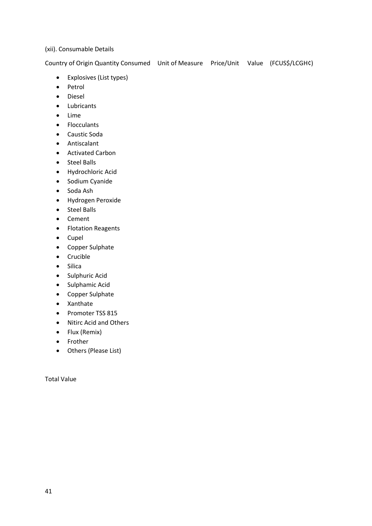## (xii). Consumable Details

Country of Origin Quantity Consumed Unit of Measure Price/Unit Value (FCUS\$/LCGH¢)

- Explosives (List types)
- Petrol
- Diesel
- Lubricants
- Lime
- Flocculants
- Caustic Soda
- Antiscalant
- Activated Carbon
- Steel Balls
- Hydrochloric Acid
- Sodium Cyanide
- Soda Ash
- Hydrogen Peroxide
- Steel Balls
- Cement
- Flotation Reagents
- Cupel
- Copper Sulphate
- Crucible
- Silica
- Sulphuric Acid
- Sulphamic Acid
- Copper Sulphate
- Xanthate
- Promoter TSS 815
- Nitirc Acid and Others
- Flux (Remix)
- Frother
- Others (Please List)

Total Value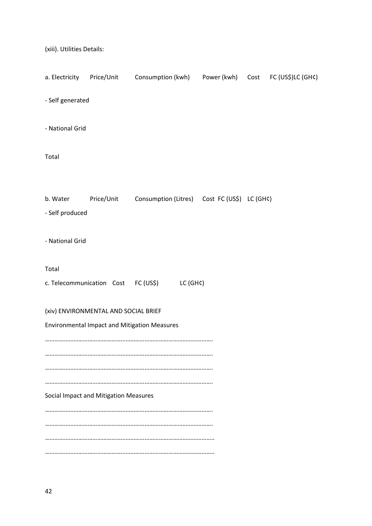(xiii). Utilities Details:

|                  |                                       | a. Electricity Price/Unit Consumption (kwh) Power (kwh) Cost FC (US\$)LC (GH¢) |  |  |
|------------------|---------------------------------------|--------------------------------------------------------------------------------|--|--|
| - Self generated |                                       |                                                                                |  |  |
| - National Grid  |                                       |                                                                                |  |  |
| Total            |                                       |                                                                                |  |  |
| b. Water         |                                       |                                                                                |  |  |
| - Self produced  | Price/Unit                            | Consumption (Litres)  Cost FC (US\$) LC (GH¢)                                  |  |  |
|                  |                                       |                                                                                |  |  |
| - National Grid  |                                       |                                                                                |  |  |
| Total            |                                       |                                                                                |  |  |
|                  |                                       | c. Telecommunication Cost FC (US\$) LC (GH¢)                                   |  |  |
|                  | (xiv) ENVIRONMENTAL AND SOCIAL BRIEF  |                                                                                |  |  |
|                  |                                       | <b>Environmental Impact and Mitigation Measures</b>                            |  |  |
|                  |                                       |                                                                                |  |  |
|                  |                                       |                                                                                |  |  |
|                  |                                       |                                                                                |  |  |
|                  | Social Impact and Mitigation Measures |                                                                                |  |  |
|                  |                                       |                                                                                |  |  |
|                  |                                       |                                                                                |  |  |
|                  |                                       |                                                                                |  |  |
|                  |                                       |                                                                                |  |  |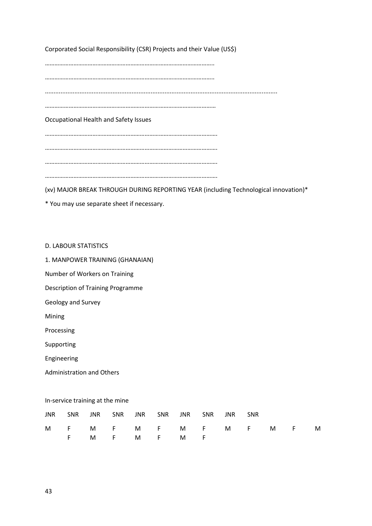Corporated Social Responsibility (CSR) Projects and their Value (US\$)

…………………………………………………………………………………………….. …………………………………………………………………………………………….. ...................................................................................................................................... ……………………………………………………………………………………………… Occupational Health and Safety Issues ………………………………………………………………………………………………. ………………………………………………………………………………………………. ………………………………………………………………………………………………. ……………………………………………………………………………………………….

(xv) MAJOR BREAK THROUGH DURING REPORTING YEAR (including Technological innovation)\*

\* You may use separate sheet if necessary.

D. LABOUR STATISTICS

1. MANPOWER TRAINING (GHANAIAN)

Number of Workers on Training

Description of Training Programme

Geology and Survey

Mining

Processing

Supporting

Engineering

Administration and Others

In-service training at the mine

|  |  | JNR SNR JNR SNR JNR SNR JNR SNR JNR SNR |  |  |  |                     |  |
|--|--|-----------------------------------------|--|--|--|---------------------|--|
|  |  |                                         |  |  |  | MF MF MF MF MF MF M |  |
|  |  | FMFMFMF                                 |  |  |  |                     |  |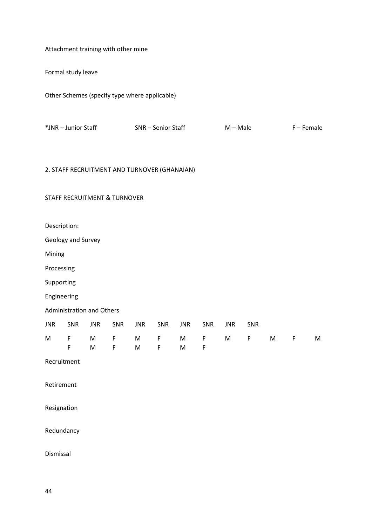Attachment training with other mine

Formal study leave

Other Schemes (specify type where applicable)

| *JNR – Junior Staff<br>SNR – Senior Staff<br>F – Female<br>$M - Male$ |
|-----------------------------------------------------------------------|
|-----------------------------------------------------------------------|

# 2. STAFF RECRUITMENT AND TURNOVER (GHANAIAN)

# STAFF RECRUITMENT & TURNOVER

Description:

Geology and Survey

Mining

Processing

Supporting

Engineering

Administration and Others

|  |  | JNR SNR JNR SNR JNR SNR JNR SNR JNR SNR |  |  |  |                     |  |
|--|--|-----------------------------------------|--|--|--|---------------------|--|
|  |  |                                         |  |  |  | MF MF MF MF MF MF M |  |
|  |  | FMFMFMF                                 |  |  |  |                     |  |

Recruitment

Retirement

Resignation

Redundancy

Dismissal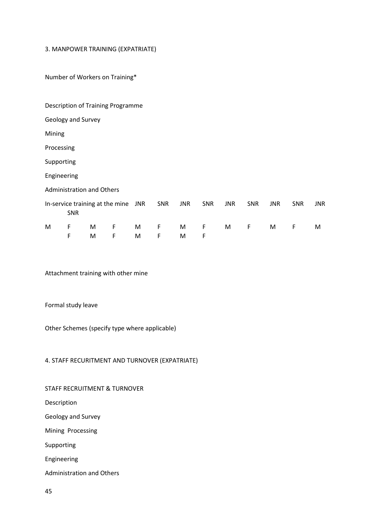#### 3. MANPOWER TRAINING (EXPATRIATE)

Number of Workers on Training\*

|                                  |            |   | Description of Training Programme |     |            |            |             |            |             |            |             |            |
|----------------------------------|------------|---|-----------------------------------|-----|------------|------------|-------------|------------|-------------|------------|-------------|------------|
| Geology and Survey               |            |   |                                   |     |            |            |             |            |             |            |             |            |
| Mining                           |            |   |                                   |     |            |            |             |            |             |            |             |            |
| Processing                       |            |   |                                   |     |            |            |             |            |             |            |             |            |
| Supporting                       |            |   |                                   |     |            |            |             |            |             |            |             |            |
| Engineering                      |            |   |                                   |     |            |            |             |            |             |            |             |            |
| <b>Administration and Others</b> |            |   |                                   |     |            |            |             |            |             |            |             |            |
|                                  | <b>SNR</b> |   | In-service training at the mine   | JNR | <b>SNR</b> | <b>JNR</b> | <b>SNR</b>  | <b>JNR</b> | <b>SNR</b>  | <b>JNR</b> | <b>SNR</b>  | <b>JNR</b> |
| M                                | F          | M | F                                 | M   | F          | M          | $\mathsf F$ | M          | $\mathsf F$ | M          | $\mathsf F$ | M          |
|                                  | F          | M | F                                 | M   | F          | M          | F           |            |             |            |             |            |

Attachment training with other mine

Formal study leave

Other Schemes (specify type where applicable)

# 4. STAFF RECURITMENT AND TURNOVER (EXPATRIATE)

### STAFF RECRUITMENT & TURNOVER

Description

Geology and Survey

Mining Processing

Supporting

Engineering

Administration and Others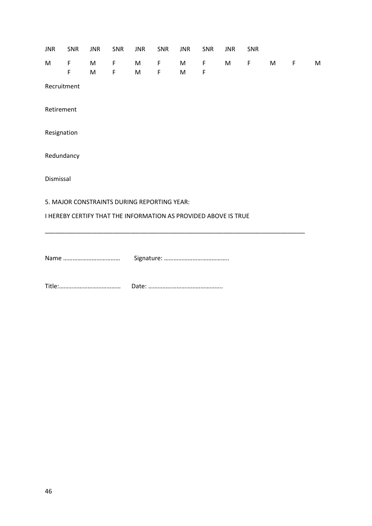|            | JNR SNR                                                         | <b>JNR</b> | SNR        | <b>JNR</b> | SNR        | <b>JNR</b> | SNR                | <b>JNR</b> | SNR |                 |             |   |
|------------|-----------------------------------------------------------------|------------|------------|------------|------------|------------|--------------------|------------|-----|-----------------|-------------|---|
|            | M F<br>$\mathsf F$                                              |            | M F<br>M F |            | M F<br>M F | $M \sim$   | M F<br>$\mathsf F$ |            | M F | M <sub>11</sub> | $\mathsf F$ | M |
|            | Recruitment                                                     |            |            |            |            |            |                    |            |     |                 |             |   |
| Retirement |                                                                 |            |            |            |            |            |                    |            |     |                 |             |   |
|            | Resignation                                                     |            |            |            |            |            |                    |            |     |                 |             |   |
|            | Redundancy                                                      |            |            |            |            |            |                    |            |     |                 |             |   |
| Dismissal  |                                                                 |            |            |            |            |            |                    |            |     |                 |             |   |
|            | 5. MAJOR CONSTRAINTS DURING REPORTING YEAR:                     |            |            |            |            |            |                    |            |     |                 |             |   |
|            | I HEREBY CERTIFY THAT THE INFORMATION AS PROVIDED ABOVE IS TRUE |            |            |            |            |            |                    |            |     |                 |             |   |
|            |                                                                 |            |            |            |            |            |                    |            |     |                 |             |   |
|            |                                                                 |            |            |            |            |            |                    |            |     |                 |             |   |
|            |                                                                 |            |            |            |            |            |                    |            |     |                 |             |   |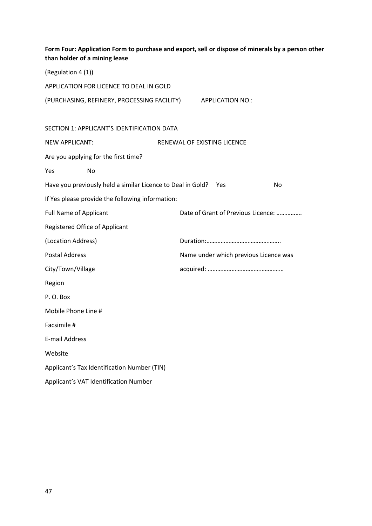| than holder of a mining lease        |                                                                 |                             |                                       | Form Four: Application Form to purchase and export, sell or dispose of minerals by a person other |
|--------------------------------------|-----------------------------------------------------------------|-----------------------------|---------------------------------------|---------------------------------------------------------------------------------------------------|
| (Regulation 4 (1))                   |                                                                 |                             |                                       |                                                                                                   |
|                                      | APPLICATION FOR LICENCE TO DEAL IN GOLD                         |                             |                                       |                                                                                                   |
|                                      | (PURCHASING, REFINERY, PROCESSING FACILITY) APPLICATION NO.:    |                             |                                       |                                                                                                   |
|                                      |                                                                 |                             |                                       |                                                                                                   |
|                                      | SECTION 1: APPLICANT'S IDENTIFICATION DATA                      |                             |                                       |                                                                                                   |
| <b>NEW APPLICANT:</b>                |                                                                 | RENEWAL OF EXISTING LICENCE |                                       |                                                                                                   |
| Are you applying for the first time? |                                                                 |                             |                                       |                                                                                                   |
| No<br>Yes                            |                                                                 |                             |                                       |                                                                                                   |
|                                      | Have you previously held a similar Licence to Deal in Gold? Yes |                             |                                       | No                                                                                                |
|                                      | If Yes please provide the following information:                |                             |                                       |                                                                                                   |
| <b>Full Name of Applicant</b>        |                                                                 |                             |                                       | Date of Grant of Previous Licence:                                                                |
| Registered Office of Applicant       |                                                                 |                             |                                       |                                                                                                   |
| (Location Address)                   |                                                                 |                             |                                       |                                                                                                   |
| <b>Postal Address</b>                |                                                                 |                             | Name under which previous Licence was |                                                                                                   |
| City/Town/Village                    |                                                                 |                             |                                       |                                                                                                   |
| Region                               |                                                                 |                             |                                       |                                                                                                   |
| P.O. Box                             |                                                                 |                             |                                       |                                                                                                   |
| Mobile Phone Line #                  |                                                                 |                             |                                       |                                                                                                   |
| Facsimile #                          |                                                                 |                             |                                       |                                                                                                   |
| <b>E-mail Address</b>                |                                                                 |                             |                                       |                                                                                                   |
| Website                              |                                                                 |                             |                                       |                                                                                                   |
|                                      | Applicant's Tax Identification Number (TIN)                     |                             |                                       |                                                                                                   |
|                                      | Applicant's VAT Identification Number                           |                             |                                       |                                                                                                   |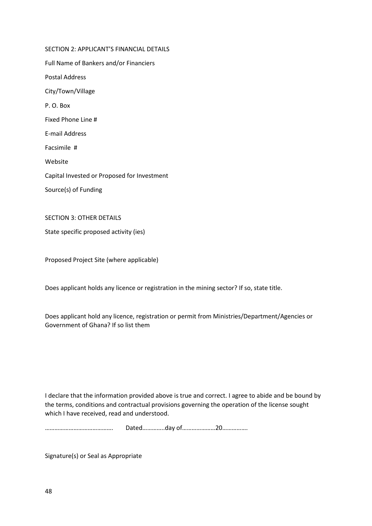SECTION 2: APPLICANT'S FINANCIAL DETAILS Full Name of Bankers and/or Financiers Postal Address City/Town/Village P. O. Box Fixed Phone Line # E-mail Address Facsimile # Website Capital Invested or Proposed for Investment Source(s) of Funding

SECTION 3: OTHER DETAILS

State specific proposed activity (ies)

Proposed Project Site (where applicable)

Does applicant holds any licence or registration in the mining sector? If so, state title.

Does applicant hold any licence, registration or permit from Ministries/Department/Agencies or Government of Ghana? If so list them

I declare that the information provided above is true and correct. I agree to abide and be bound by the terms, conditions and contractual provisions governing the operation of the license sought which I have received, read and understood.

……………………………………. Dated…………..day of…………………20…………….

Signature(s) or Seal as Appropriate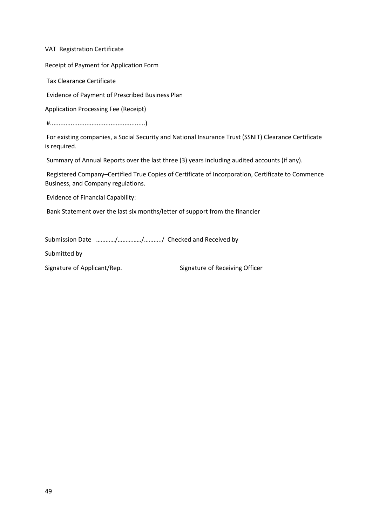VAT Registration Certificate

Receipt of Payment for Application Form

Tax Clearance Certificate

Evidence of Payment of Prescribed Business Plan

Application Processing Fee (Receipt)

#.......................................................)

For existing companies, a Social Security and National Insurance Trust (SSNIT) Clearance Certificate is required.

Summary of Annual Reports over the last three (3) years including audited accounts (if any).

Registered Company–Certified True Copies of Certificate of Incorporation, Certificate to Commence Business, and Company regulations.

Evidence of Financial Capability:

Bank Statement over the last six months/letter of support from the financier

Submission Date …………/……………/………../ Checked and Received by

Submitted by

Signature of Applicant/Rep. Signature of Receiving Officer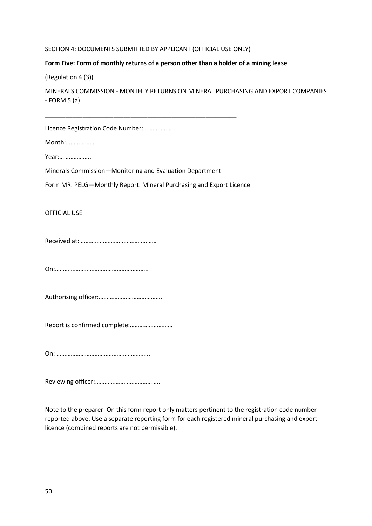#### SECTION 4: DOCUMENTS SUBMITTED BY APPLICANT (OFFICIAL USE ONLY)

# **Form Five: Form of monthly returns of a person other than a holder of a mining lease**

(Regulation 4 (3))

MINERALS COMMISSION - MONTHLY RETURNS ON MINERAL PURCHASING AND EXPORT COMPANIES  $-$  FORM 5 (a)

Licence Registration Code Number:………………

Month:………………

Year:………………..

Minerals Commission—Monitoring and Evaluation Department

\_\_\_\_\_\_\_\_\_\_\_\_\_\_\_\_\_\_\_\_\_\_\_\_\_\_\_\_\_\_\_\_\_\_\_\_\_\_\_\_\_\_\_\_\_\_\_\_\_\_\_\_\_\_\_\_

Form MR: PELG—Monthly Report: Mineral Purchasing and Export Licence

### OFFICIAL USE

Received at: …………………………………………

On:…………………………………………………..

Authorising officer:………………………………….

Report is confirmed complete:………………………

On: …………………………………………………..

Reviewing officer:…………………………………..

Note to the preparer: On this form report only matters pertinent to the registration code number reported above. Use a separate reporting form for each registered mineral purchasing and export licence (combined reports are not permissible).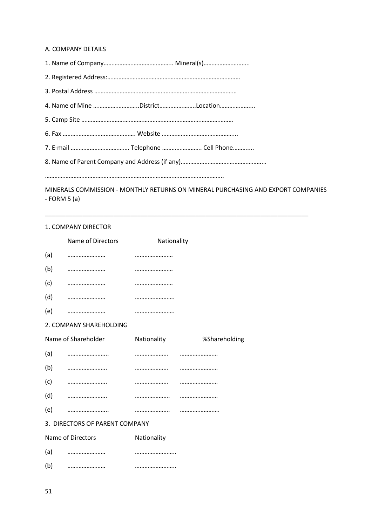#### A. COMPANY DETAILS

|  | 4. Name of Mine DistrictLocation |
|--|----------------------------------|
|  |                                  |
|  |                                  |
|  |                                  |

8. Name of Parent Company and Address (if any)……………………………………………...

…………………………………………………………………………………………………..

MINERALS COMMISSION - MONTHLY RETURNS ON MINERAL PURCHASING AND EXPORT COMPANIES  $-$  FORM 5 (a)

\_\_\_\_\_\_\_\_\_\_\_\_\_\_\_\_\_\_\_\_\_\_\_\_\_\_\_\_\_\_\_\_\_\_\_\_\_\_\_\_\_\_\_\_\_\_\_\_\_\_\_\_\_\_\_\_\_\_\_\_\_\_\_\_\_\_\_\_\_\_\_\_\_\_\_\_\_

#### 1. COMPANY DIRECTOR

|     | Name of Directors              | Nationality |               |
|-----|--------------------------------|-------------|---------------|
| (a) |                                |             |               |
| (b) |                                |             |               |
| (c) |                                |             |               |
| (d) |                                |             |               |
| (e) |                                |             |               |
|     | 2. COMPANY SHAREHOLDING        |             |               |
|     | Name of Shareholder            | Nationality | %Shareholding |
| (a) |                                |             |               |
| (b) |                                |             |               |
| (c) |                                |             |               |
| (d) |                                |             |               |
| (e) |                                |             |               |
|     | 3. DIRECTORS OF PARENT COMPANY |             |               |
|     | Name of Directors              | Nationality |               |
| (a) |                                |             |               |
| (b) |                                |             |               |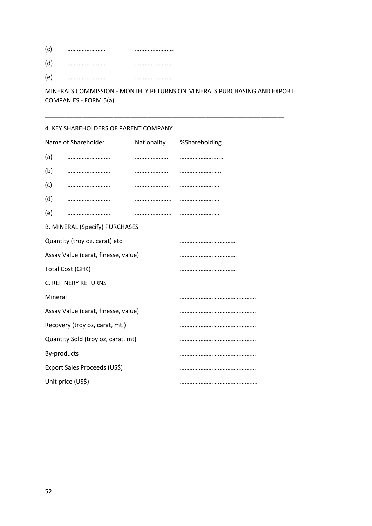| (c) | <br> |
|-----|------|
|     | <br> |
| (e  | <br> |

MINERALS COMMISSION - MONTHLY RETURNS ON MINERALS PURCHASING AND EXPORT COMPANIES - FORM 5(a)

\_\_\_\_\_\_\_\_\_\_\_\_\_\_\_\_\_\_\_\_\_\_\_\_\_\_\_\_\_\_\_\_\_\_\_\_\_\_\_\_\_\_\_\_\_\_\_\_\_\_\_\_\_\_\_\_\_\_\_\_\_\_\_\_\_\_\_\_\_\_

# 4. KEY SHAREHOLDERS OF PARENT COMPANY

|                            | Name of Shareholder                   |  | Nationality %Shareholding |
|----------------------------|---------------------------------------|--|---------------------------|
| (a)                        |                                       |  |                           |
| (b)                        |                                       |  |                           |
| (c)                        |                                       |  |                           |
| (d)                        |                                       |  |                           |
| (e)                        |                                       |  |                           |
|                            | <b>B. MINERAL (Specify) PURCHASES</b> |  |                           |
|                            | Quantity (troy oz, carat) etc         |  |                           |
|                            | Assay Value (carat, finesse, value)   |  |                           |
| Total Cost (GH¢)           |                                       |  |                           |
| <b>C. REFINERY RETURNS</b> |                                       |  |                           |
| Mineral                    |                                       |  |                           |
|                            | Assay Value (carat, finesse, value)   |  |                           |
|                            | Recovery (troy oz, carat, mt.)        |  |                           |
|                            | Quantity Sold (troy oz, carat, mt)    |  |                           |
| By-products                |                                       |  |                           |
|                            | Export Sales Proceeds (US\$)          |  |                           |
|                            | Unit price (US\$)                     |  |                           |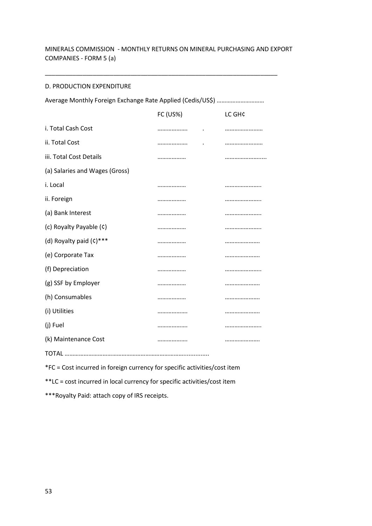# MINERALS COMMISSION - MONTHLY RETURNS ON MINERAL PURCHASING AND EXPORT COMPANIES - FORM 5 (a)

\_\_\_\_\_\_\_\_\_\_\_\_\_\_\_\_\_\_\_\_\_\_\_\_\_\_\_\_\_\_\_\_\_\_\_\_\_\_\_\_\_\_\_\_\_\_\_\_\_\_\_\_\_\_\_\_\_\_\_\_\_\_\_\_\_\_\_\_

### D. PRODUCTION EXPENDITURE

|                                | <b>FC (US%)</b> | LC GH¢ |
|--------------------------------|-----------------|--------|
| i. Total Cash Cost             |                 |        |
| ii. Total Cost                 |                 |        |
| iii. Total Cost Details        |                 |        |
| (a) Salaries and Wages (Gross) |                 |        |
| i. Local                       |                 |        |
| ii. Foreign                    |                 |        |
| (a) Bank Interest              |                 |        |
| (c) Royalty Payable (c)        |                 |        |
| (d) Royalty paid (c)***        |                 |        |
| (e) Corporate Tax              |                 |        |
| (f) Depreciation               |                 |        |
| (g) SSF by Employer            |                 |        |
| (h) Consumables                |                 |        |
| (i) Utilities                  |                 |        |
| (j) Fuel                       |                 |        |
| (k) Maintenance Cost           |                 |        |
|                                |                 |        |

\*FC = Cost incurred in foreign currency for specific activities/cost item

\*\*LC = cost incurred in local currency for specific activities/cost item

\*\*\*Royalty Paid: attach copy of IRS receipts.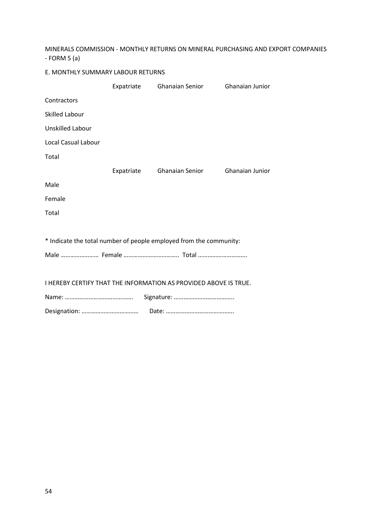MINERALS COMMISSION - MONTHLY RETURNS ON MINERAL PURCHASING AND EXPORT COMPANIES - FORM 5 (a)

| E. MONTHLY SUMMARY LABOUR RETURNS |  |                                                                    |                 |
|-----------------------------------|--|--------------------------------------------------------------------|-----------------|
|                                   |  | Expatriate Ghanaian Senior                                         | Ghanaian Junior |
| Contractors                       |  |                                                                    |                 |
| <b>Skilled Labour</b>             |  |                                                                    |                 |
| <b>Unskilled Labour</b>           |  |                                                                    |                 |
| <b>Local Casual Labour</b>        |  |                                                                    |                 |
| Total                             |  |                                                                    |                 |
|                                   |  | Expatriate Ghanaian Senior                                         | Ghanaian Junior |
| Male                              |  |                                                                    |                 |
| Female                            |  |                                                                    |                 |
| Total                             |  |                                                                    |                 |
|                                   |  |                                                                    |                 |
|                                   |  | * Indicate the total number of people employed from the community: |                 |
|                                   |  | Male  Female  Total                                                |                 |
|                                   |  |                                                                    |                 |
|                                   |  | I HEREBY CERTIFY THAT THE INFORMATION AS PROVIDED ABOVE IS TRUE.   |                 |
|                                   |  |                                                                    |                 |
|                                   |  |                                                                    |                 |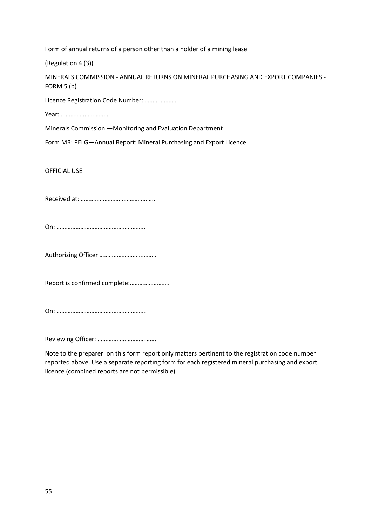Form of annual returns of a person other than a holder of a mining lease

(Regulation 4 (3))

MINERALS COMMISSION - ANNUAL RETURNS ON MINERAL PURCHASING AND EXPORT COMPANIES - FORM 5 (b)

Licence Registration Code Number: …………………

Year: …………………………

Minerals Commission —Monitoring and Evaluation Department

Form MR: PELG—Annual Report: Mineral Purchasing and Export Licence

OFFICIAL USE

Received at: ………………………………………..

On: ………………………………………………..

Authorizing Officer ………………………………

Report is confirmed complete:…………………….

On: …………………………………………………

Reviewing Officer: ……………………………….

Note to the preparer: on this form report only matters pertinent to the registration code number reported above. Use a separate reporting form for each registered mineral purchasing and export licence (combined reports are not permissible).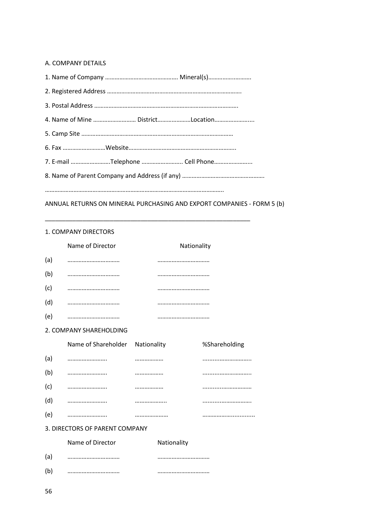### A. COMPANY DETAILS

| 4. Name of Mine  DistrictLocation |
|-----------------------------------|
|                                   |
|                                   |
| 7. E-mail Telephone  Cell Phone   |
|                                   |
|                                   |

ANNUAL RETURNS ON MINERAL PURCHASING AND EXPORT COMPANIES - FORM 5 (b)

\_\_\_\_\_\_\_\_\_\_\_\_\_\_\_\_\_\_\_\_\_\_\_\_\_\_\_\_\_\_\_\_\_\_\_\_\_\_\_\_\_\_\_\_\_\_\_\_\_\_\_\_\_\_\_\_\_\_\_\_

# 1. COMPANY DIRECTORS

|     | Name of Director               |             | Nationality   |
|-----|--------------------------------|-------------|---------------|
| (a) |                                |             |               |
| (b) |                                |             |               |
| (c) |                                |             |               |
| (d) |                                |             |               |
| (e) |                                |             |               |
|     | 2. COMPANY SHAREHOLDING        |             |               |
|     | Name of Shareholder            | Nationality | %Shareholding |
| (a) |                                |             |               |
| (b) |                                |             |               |
| (c) |                                |             |               |
| (d) |                                |             |               |
| (e) |                                |             |               |
|     | 3. DIRECTORS OF PARENT COMPANY |             |               |
|     | Name of Director               | Nationality |               |
| (a) |                                |             | .             |
| (b) |                                |             |               |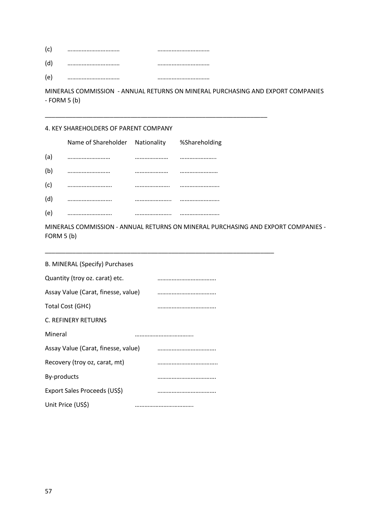| (c) | <br> |
|-----|------|
| (d  | <br> |
| e') | <br> |

MINERALS COMMISSION - ANNUAL RETURNS ON MINERAL PURCHASING AND EXPORT COMPANIES  $-$  FORM 5 (b)

\_\_\_\_\_\_\_\_\_\_\_\_\_\_\_\_\_\_\_\_\_\_\_\_\_\_\_\_\_\_\_\_\_\_\_\_\_\_\_\_\_\_\_\_\_\_\_\_\_\_\_\_\_\_\_\_\_\_\_\_\_\_\_\_\_

# 4. KEY SHAREHOLDERS OF PARENT COMPANY

|     | Name of Shareholder Nationality %Shareholding |      |
|-----|-----------------------------------------------|------|
| (a) |                                               | <br> |
| (b) |                                               |      |
| (c) |                                               |      |
| (d) |                                               |      |
| (e) |                                               | <br> |

MINERALS COMMISSION - ANNUAL RETURNS ON MINERAL PURCHASING AND EXPORT COMPANIES - FORM 5 (b)

\_\_\_\_\_\_\_\_\_\_\_\_\_\_\_\_\_\_\_\_\_\_\_\_\_\_\_\_\_\_\_\_\_\_\_\_\_\_\_\_\_\_\_\_\_\_\_\_\_\_\_\_\_\_\_\_\_\_\_\_\_\_\_\_\_\_\_

| B. MINERAL (Specify) Purchases      |  |
|-------------------------------------|--|
| Quantity (troy oz. carat) etc.      |  |
| Assay Value (Carat, finesse, value) |  |
| Total Cost (GH¢)                    |  |
| <b>C. REFINERY RETURNS</b>          |  |
| Mineral                             |  |
| Assay Value (Carat, finesse, value) |  |
| Recovery (troy oz, carat, mt)       |  |
| By-products                         |  |
| Export Sales Proceeds (US\$)        |  |
| Unit Price (US\$)                   |  |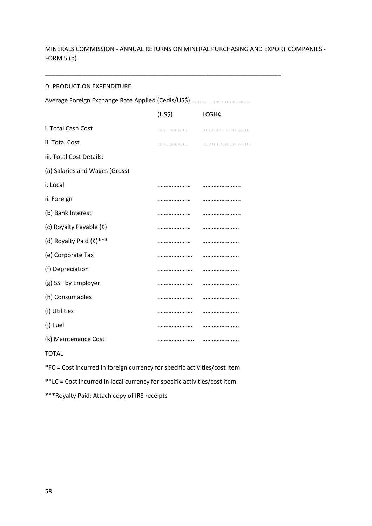MINERALS COMMISSION - ANNUAL RETURNS ON MINERAL PURCHASING AND EXPORT COMPANIES - FORM 5 (b)

\_\_\_\_\_\_\_\_\_\_\_\_\_\_\_\_\_\_\_\_\_\_\_\_\_\_\_\_\_\_\_\_\_\_\_\_\_\_\_\_\_\_\_\_\_\_\_\_\_\_\_\_\_\_\_\_\_\_\_\_\_\_\_\_\_\_\_\_\_

### D. PRODUCTION EXPENDITURE

|                                | (US <sup>5</sup> ) | <b>LCGH¢</b> |  |
|--------------------------------|--------------------|--------------|--|
| i. Total Cash Cost             |                    |              |  |
| ii. Total Cost                 |                    |              |  |
| iii. Total Cost Details:       |                    |              |  |
| (a) Salaries and Wages (Gross) |                    |              |  |
| i. Local                       |                    |              |  |
| ii. Foreign                    |                    |              |  |
| (b) Bank Interest              |                    |              |  |
| (c) Royalty Payable (c)        |                    |              |  |
| (d) Royalty Paid (c)***        |                    |              |  |
| (e) Corporate Tax              |                    |              |  |
| (f) Depreciation               |                    |              |  |
| (g) SSF by Employer            |                    |              |  |
| (h) Consumables                |                    |              |  |
| (i) Utilities                  |                    |              |  |
| (j) Fuel                       |                    |              |  |
| (k) Maintenance Cost           |                    |              |  |
|                                |                    |              |  |

TOTAL

\*FC = Cost incurred in foreign currency for specific activities/cost item

\*\*LC = Cost incurred in local currency for specific activities/cost item

\*\*\*Royalty Paid: Attach copy of IRS receipts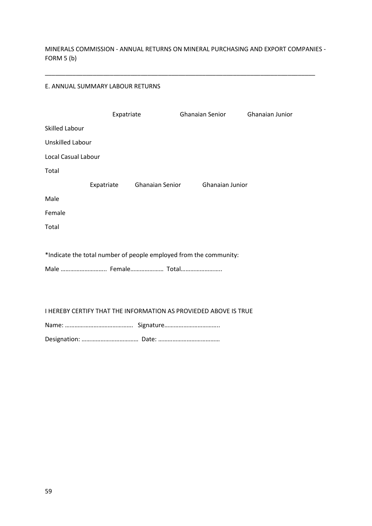MINERALS COMMISSION - ANNUAL RETURNS ON MINERAL PURCHASING AND EXPORT COMPANIES - FORM 5 (b)

\_\_\_\_\_\_\_\_\_\_\_\_\_\_\_\_\_\_\_\_\_\_\_\_\_\_\_\_\_\_\_\_\_\_\_\_\_\_\_\_\_\_\_\_\_\_\_\_\_\_\_\_\_\_\_\_\_\_\_\_\_\_\_\_\_\_\_\_\_\_\_\_\_\_\_\_\_\_\_

## E. ANNUAL SUMMARY LABOUR RETURNS

|                            | Expatriate |                            | Ghanaian Senior                                                         | Ghanaian Junior |
|----------------------------|------------|----------------------------|-------------------------------------------------------------------------|-----------------|
| <b>Skilled Labour</b>      |            |                            |                                                                         |                 |
| <b>Unskilled Labour</b>    |            |                            |                                                                         |                 |
| <b>Local Casual Labour</b> |            |                            |                                                                         |                 |
| Total                      |            |                            |                                                                         |                 |
|                            |            | Expatriate Ghanaian Senior | Ghanaian Junior                                                         |                 |
| Male                       |            |                            |                                                                         |                 |
| Female                     |            |                            |                                                                         |                 |
| Total                      |            |                            |                                                                         |                 |
|                            |            |                            |                                                                         |                 |
|                            |            |                            | *Indicate the total number of people employed from the community:       |                 |
| Male  Female Total         |            |                            |                                                                         |                 |
|                            |            |                            |                                                                         |                 |
|                            |            |                            |                                                                         |                 |
|                            |            |                            | <b>I HEREBY CERTIFY THAT THE INFORMATION AS PROVIEDED ABOVE IS TRUE</b> |                 |
|                            |            |                            |                                                                         |                 |
|                            |            |                            |                                                                         |                 |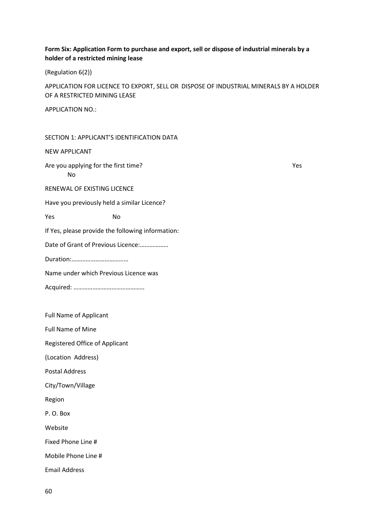# **Form Six: Application Form to purchase and export, sell or dispose of industrial minerals by a holder of a restricted mining lease**

(Regulation 6(2))

APPLICATION FOR LICENCE TO EXPORT, SELL OR DISPOSE OF INDUSTRIAL MINERALS BY A HOLDER OF A RESTRICTED MINING LEASE

APPLICATION NO.:

SECTION 1: APPLICANT'S IDENTIFICATION DATA

NEW APPLICANT

Are you applying for the first time? Are you applying for the first time? No

RENEWAL OF EXISTING LICENCE

Have you previously held a similar Licence?

Yes No

If Yes, please provide the following information:

Date of Grant of Previous Licence:………………

Duration:………………………………

Name under which Previous Licence was

Acquired: ………………………………………

Full Name of Applicant

Full Name of Mine

Registered Office of Applicant

(Location Address)

Postal Address

City/Town/Village

Region

P. O. Box

Website

Fixed Phone Line #

Mobile Phone Line #

Email Address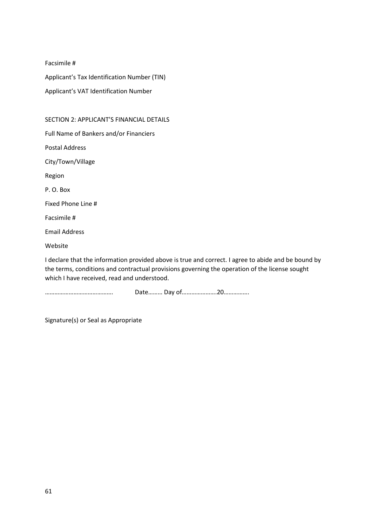Facsimile #

Applicant's Tax Identification Number (TIN)

Applicant's VAT Identification Number

# SECTION 2: APPLICANT'S FINANCIAL DETAILS

Full Name of Bankers and/or Financiers

Postal Address

City/Town/Village

Region

P. O. Box

Fixed Phone Line #

Facsimile #

Email Address

Website

I declare that the information provided above is true and correct. I agree to abide and be bound by the terms, conditions and contractual provisions governing the operation of the license sought which I have received, read and understood.

……………………………………. Date……… Day of………………….20…………….

Signature(s) or Seal as Appropriate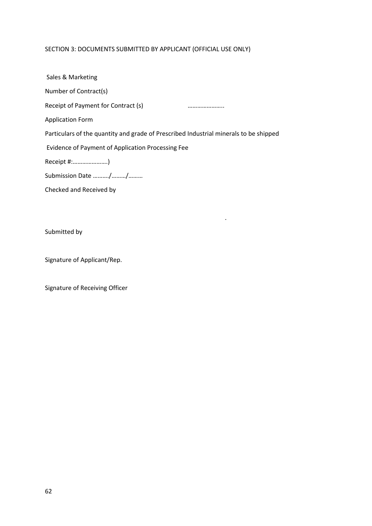# SECTION 3: DOCUMENTS SUBMITTED BY APPLICANT (OFFICIAL USE ONLY)

| Sales & Marketing                                                                     |
|---------------------------------------------------------------------------------------|
| Number of Contract(s)                                                                 |
| Receipt of Payment for Contract (s)                                                   |
| <b>Application Form</b>                                                               |
| Particulars of the quantity and grade of Prescribed Industrial minerals to be shipped |
| Evidence of Payment of Application Processing Fee                                     |
| Receipt #:)                                                                           |
| Submission Date //                                                                    |
| Checked and Received by                                                               |

.

Submitted by

Signature of Applicant/Rep.

Signature of Receiving Officer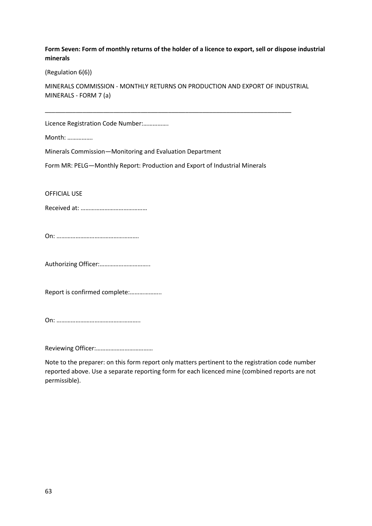# **Form Seven: Form of monthly returns of the holder of a licence to export, sell or dispose industrial minerals**

(Regulation 6(6))

MINERALS COMMISSION - MONTHLY RETURNS ON PRODUCTION AND EXPORT OF INDUSTRIAL MINERALS - FORM 7 (a)

\_\_\_\_\_\_\_\_\_\_\_\_\_\_\_\_\_\_\_\_\_\_\_\_\_\_\_\_\_\_\_\_\_\_\_\_\_\_\_\_\_\_\_\_\_\_\_\_\_\_\_\_\_\_\_\_\_\_\_\_\_\_\_\_\_\_\_\_\_\_\_\_

Licence Registration Code Number:…………….

Month: …………….

Minerals Commission—Monitoring and Evaluation Department

Form MR: PELG—Monthly Report: Production and Export of Industrial Minerals

OFFICIAL USE

Received at: ……………………………………

On: …………………………………………….

Authorizing Officer:…………………………..

Report is confirmed complete:………………..

On: ……………………………………………..

Reviewing Officer:………………………………

Note to the preparer: on this form report only matters pertinent to the registration code number reported above. Use a separate reporting form for each licenced mine (combined reports are not permissible).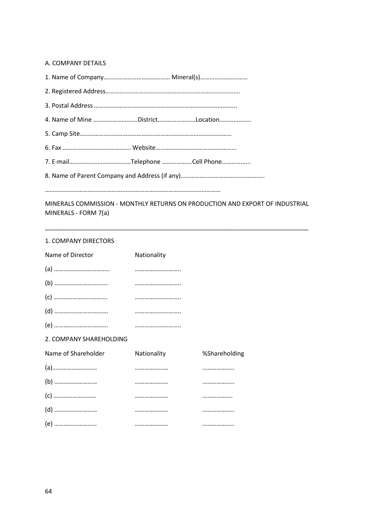### A. COMPANY DETAILS

| 4. Name of Mine DistrictLocation |
|----------------------------------|
|                                  |
|                                  |
|                                  |
|                                  |
|                                  |

MINERALS COMMISSION - MONTHLY RETURNS ON PRODUCTION AND EXPORT OF INDUSTRIAL MINERALS - FORM 7(a)

\_\_\_\_\_\_\_\_\_\_\_\_\_\_\_\_\_\_\_\_\_\_\_\_\_\_\_\_\_\_\_\_\_\_\_\_\_\_\_\_\_\_\_\_\_\_\_\_\_\_\_\_\_\_\_\_\_\_\_\_\_\_\_\_\_\_\_\_\_\_\_\_\_\_\_\_\_

#### 1. COMPANY DIRECTORS

| Name of Director        | Nationality                                                  |               |
|-------------------------|--------------------------------------------------------------|---------------|
|                         |                                                              |               |
|                         |                                                              |               |
|                         |                                                              |               |
|                         |                                                              |               |
|                         |                                                              |               |
| 2. COMPANY SHAREHOLDING |                                                              |               |
| Name of Shareholder     | Nationality                                                  | %Shareholding |
|                         |                                                              |               |
|                         |                                                              |               |
|                         | <u> 1990 - Januar Amerikaanse konge en de Staatsmannen (</u> |               |
|                         |                                                              |               |
| (e)                     |                                                              |               |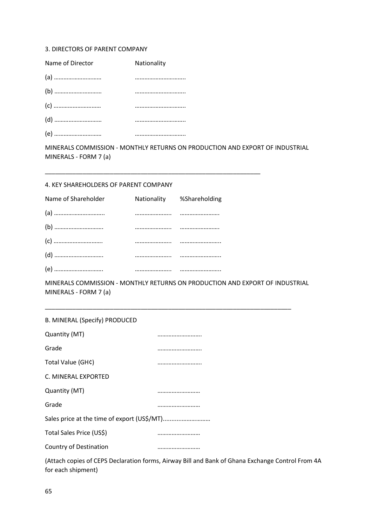#### 3. DIRECTORS OF PARENT COMPANY

| Name of Director | Nationality |
|------------------|-------------|
|                  |             |
|                  |             |
|                  |             |
|                  |             |
|                  |             |

MINERALS COMMISSION - MONTHLY RETURNS ON PRODUCTION AND EXPORT OF INDUSTRIAL MINERALS - FORM 7 (a)

\_\_\_\_\_\_\_\_\_\_\_\_\_\_\_\_\_\_\_\_\_\_\_\_\_\_\_\_\_\_\_\_\_\_\_\_\_\_\_\_\_\_\_\_\_\_\_\_\_\_\_\_\_\_\_\_\_\_\_\_\_\_\_

### 4. KEY SHAREHOLDERS OF PARENT COMPANY

| Name of Shareholder | Nationality %Shareholding |
|---------------------|---------------------------|
|                     |                           |
|                     |                           |
|                     |                           |
|                     |                           |
|                     |                           |

MINERALS COMMISSION - MONTHLY RETURNS ON PRODUCTION AND EXPORT OF INDUSTRIAL MINERALS - FORM 7 (a)

\_\_\_\_\_\_\_\_\_\_\_\_\_\_\_\_\_\_\_\_\_\_\_\_\_\_\_\_\_\_\_\_\_\_\_\_\_\_\_\_\_\_\_\_\_\_\_\_\_\_\_\_\_\_\_\_\_\_\_\_\_\_\_\_\_\_\_\_\_\_\_\_

(Attach copies of CEPS Declaration forms, Airway Bill and Bank of Ghana Exchange Control From 4A for each shipment)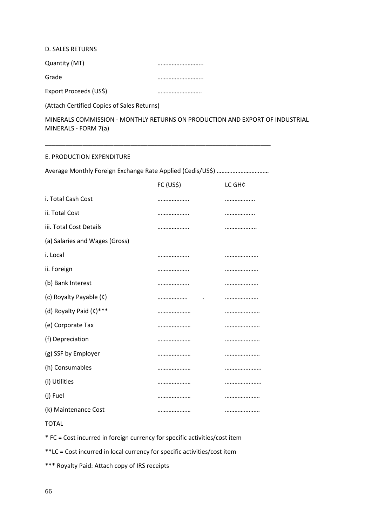D. SALES RETURNS

Quantity (MT) example and the contract of the contract of the contract of the contract of the contract of the contract of the contract of the contract of the contract of the contract of the contract of the contract of the

Grade ………………………..

Export Proceeds (US\$) **Export** Proceeds (US\$)

(Attach Certified Copies of Sales Returns)

MINERALS COMMISSION - MONTHLY RETURNS ON PRODUCTION AND EXPORT OF INDUSTRIAL MINERALS - FORM 7(a)

# E. PRODUCTION EXPENDITURE

Average Monthly Foreign Exchange Rate Applied (Cedis/US\$) ……………………………………

\_\_\_\_\_\_\_\_\_\_\_\_\_\_\_\_\_\_\_\_\_\_\_\_\_\_\_\_\_\_\_\_\_\_\_\_\_\_\_\_\_\_\_\_\_\_\_\_\_\_\_\_\_\_\_\_\_\_\_\_\_\_\_\_\_\_

|                                | FC (US\$) | LC GH¢ |
|--------------------------------|-----------|--------|
| i. Total Cash Cost             |           |        |
| ii. Total Cost                 |           |        |
| iii. Total Cost Details        |           | .      |
| (a) Salaries and Wages (Gross) |           |        |
| i. Local                       |           |        |
| ii. Foreign                    |           |        |
| (b) Bank Interest              |           |        |
| (c) Royalty Payable (c)        |           |        |
| (d) Royalty Paid (c)***        |           |        |
| (e) Corporate Tax              |           |        |
| (f) Depreciation               |           |        |
| (g) SSF by Employer            |           |        |
| (h) Consumables                |           |        |
| (i) Utilities                  |           |        |
| (j) Fuel                       |           |        |
| (k) Maintenance Cost           |           |        |

TOTAL

\* FC = Cost incurred in foreign currency for specific activities/cost item

\*\*LC = Cost incurred in local currency for specific activities/cost item

\*\*\* Royalty Paid: Attach copy of IRS receipts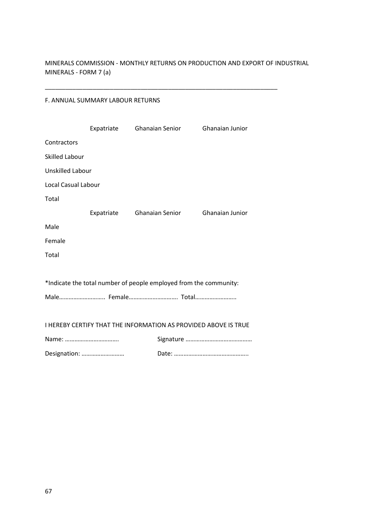MINERALS COMMISSION - MONTHLY RETURNS ON PRODUCTION AND EXPORT OF INDUSTRIAL MINERALS - FORM 7 (a)

\_\_\_\_\_\_\_\_\_\_\_\_\_\_\_\_\_\_\_\_\_\_\_\_\_\_\_\_\_\_\_\_\_\_\_\_\_\_\_\_\_\_\_\_\_\_\_\_\_\_\_\_\_\_\_\_\_\_\_\_\_\_\_\_\_\_\_\_

# F. ANNUAL SUMMARY LABOUR RETURNS

|                                                                 | Expatriate                                                        | Ghanaian Senior |  | <b>Ghanaian Junior</b> |
|-----------------------------------------------------------------|-------------------------------------------------------------------|-----------------|--|------------------------|
| Contractors                                                     |                                                                   |                 |  |                        |
| Skilled Labour                                                  |                                                                   |                 |  |                        |
| <b>Unskilled Labour</b>                                         |                                                                   |                 |  |                        |
| Local Casual Labour                                             |                                                                   |                 |  |                        |
| Total                                                           |                                                                   |                 |  |                        |
|                                                                 | Expatriate                                                        | Ghanaian Senior |  | <b>Ghanaian Junior</b> |
| Male                                                            |                                                                   |                 |  |                        |
| Female                                                          |                                                                   |                 |  |                        |
| Total                                                           |                                                                   |                 |  |                        |
|                                                                 |                                                                   |                 |  |                        |
|                                                                 | *Indicate the total number of people employed from the community: |                 |  |                        |
| Male Female Total                                               |                                                                   |                 |  |                        |
|                                                                 |                                                                   |                 |  |                        |
| I HEREBY CERTIFY THAT THE INFORMATION AS PROVIDED ABOVE IS TRUE |                                                                   |                 |  |                        |
|                                                                 |                                                                   |                 |  |                        |
| Designation:                                                    |                                                                   |                 |  |                        |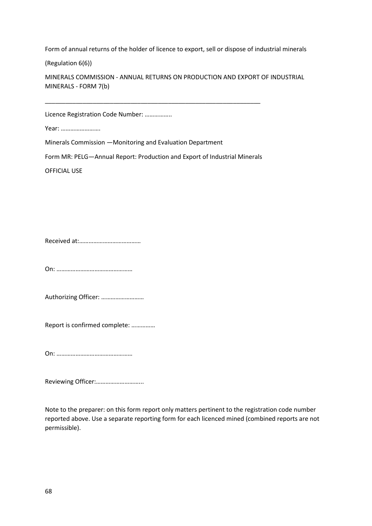Form of annual returns of the holder of licence to export, sell or dispose of industrial minerals

(Regulation 6(6))

MINERALS COMMISSION - ANNUAL RETURNS ON PRODUCTION AND EXPORT OF INDUSTRIAL MINERALS - FORM 7(b)

Licence Registration Code Number: ……………..

Year: …………………….

Minerals Commission —Monitoring and Evaluation Department

Form MR: PELG—Annual Report: Production and Export of Industrial Minerals

\_\_\_\_\_\_\_\_\_\_\_\_\_\_\_\_\_\_\_\_\_\_\_\_\_\_\_\_\_\_\_\_\_\_\_\_\_\_\_\_\_\_\_\_\_\_\_\_\_\_\_\_\_\_\_\_\_\_\_\_\_\_\_

OFFICIAL USE

Received at:…………………………………

On: …………………………………………

Authorizing Officer: ………………………

Report is confirmed complete: ……………

On: …………………………………………

Reviewing Officer:………………………...

Note to the preparer: on this form report only matters pertinent to the registration code number reported above. Use a separate reporting form for each licenced mined (combined reports are not permissible).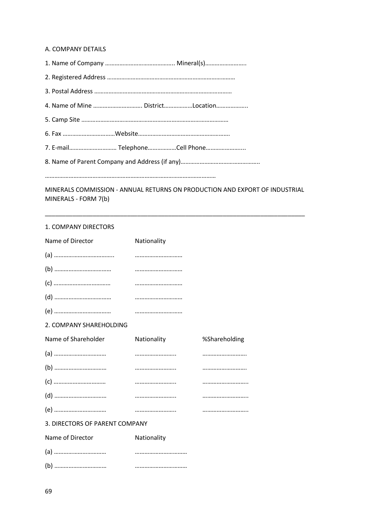#### A. COMPANY DETAILS

| 4. Name of Mine  DistrictLocation                                              |
|--------------------------------------------------------------------------------|
|                                                                                |
|                                                                                |
| 7. E-mail TelephoneCell Phone                                                  |
|                                                                                |
|                                                                                |
| A 41N IERALG GOA 4A 41GCIONI - A AIAU 141 - RETURNG ON RRODUGTIONI ANIR EVROPE |

MINERALS COMMISSION - ANNUAL RETURNS ON PRODUCTION AND EXPORT OF INDUSTRIAL MINERALS - FORM 7(b)

\_\_\_\_\_\_\_\_\_\_\_\_\_\_\_\_\_\_\_\_\_\_\_\_\_\_\_\_\_\_\_\_\_\_\_\_\_\_\_\_\_\_\_\_\_\_\_\_\_\_\_\_\_\_\_\_\_\_\_\_\_\_\_\_\_\_\_\_\_\_\_\_\_\_\_\_

#### 1. COMPANY DIRECTORS

| Name of Director               | Nationality |               |
|--------------------------------|-------------|---------------|
|                                |             |               |
|                                |             |               |
|                                |             |               |
|                                |             |               |
|                                |             |               |
| 2. COMPANY SHAREHOLDING        |             |               |
| Name of Shareholder            | Nationality | %Shareholding |
|                                |             |               |
|                                |             |               |
|                                |             |               |
|                                |             |               |
|                                |             |               |
| 3. DIRECTORS OF PARENT COMPANY |             |               |
| Name of Director               | Nationality |               |
|                                |             |               |
|                                |             |               |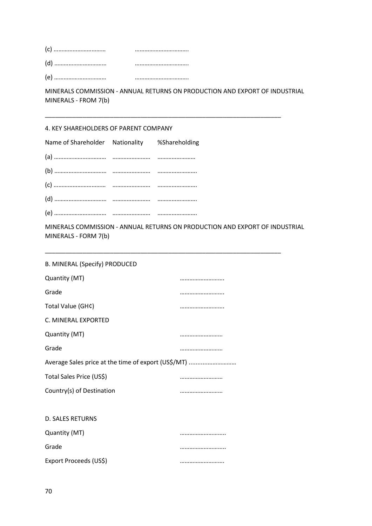| (c)<br>    |  |
|------------|--|
| (d<br>     |  |
| $\sqrt{ }$ |  |

(e) …………………………… …………………………….

MINERALS COMMISSION - ANNUAL RETURNS ON PRODUCTION AND EXPORT OF INDUSTRIAL MINERALS - FROM 7(b)

\_\_\_\_\_\_\_\_\_\_\_\_\_\_\_\_\_\_\_\_\_\_\_\_\_\_\_\_\_\_\_\_\_\_\_\_\_\_\_\_\_\_\_\_\_\_\_\_\_\_\_\_\_\_\_\_\_\_\_\_\_\_\_\_\_\_\_\_\_

# 4. KEY SHAREHOLDERS OF PARENT COMPANY

| Name of Shareholder Nationality %Shareholding |  |
|-----------------------------------------------|--|
|                                               |  |
|                                               |  |
|                                               |  |
|                                               |  |
|                                               |  |

MINERALS COMMISSION - ANNUAL RETURNS ON PRODUCTION AND EXPORT OF INDUSTRIAL MINERALS - FORM 7(b)

\_\_\_\_\_\_\_\_\_\_\_\_\_\_\_\_\_\_\_\_\_\_\_\_\_\_\_\_\_\_\_\_\_\_\_\_\_\_\_\_\_\_\_\_\_\_\_\_\_\_\_\_\_\_\_\_\_\_\_\_\_\_\_\_\_\_\_\_\_

| <b>B. MINERAL (Specify) PRODUCED</b>                |  |  |  |  |  |
|-----------------------------------------------------|--|--|--|--|--|
| Quantity (MT)                                       |  |  |  |  |  |
| Grade                                               |  |  |  |  |  |
| Total Value (GH¢)                                   |  |  |  |  |  |
| C. MINERAL EXPORTED                                 |  |  |  |  |  |
| Quantity (MT)                                       |  |  |  |  |  |
| Grade                                               |  |  |  |  |  |
| Average Sales price at the time of export (US\$/MT) |  |  |  |  |  |
| Total Sales Price (US\$)                            |  |  |  |  |  |
| Country(s) of Destination                           |  |  |  |  |  |
|                                                     |  |  |  |  |  |
| <b>D. SALES RETURNS</b>                             |  |  |  |  |  |
| Quantity (MT)                                       |  |  |  |  |  |
| Grade                                               |  |  |  |  |  |
| Export Proceeds (US\$)                              |  |  |  |  |  |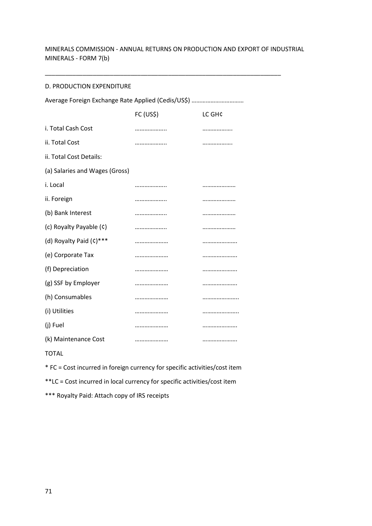# MINERALS COMMISSION - ANNUAL RETURNS ON PRODUCTION AND EXPORT OF INDUSTRIAL MINERALS - FORM 7(b)

\_\_\_\_\_\_\_\_\_\_\_\_\_\_\_\_\_\_\_\_\_\_\_\_\_\_\_\_\_\_\_\_\_\_\_\_\_\_\_\_\_\_\_\_\_\_\_\_\_\_\_\_\_\_\_\_\_\_\_\_\_\_\_\_\_\_\_\_\_

### D. PRODUCTION EXPENDITURE

| Average Foreign Exchange Rate Applied (Cedis/US\$) |           |        |  |  |
|----------------------------------------------------|-----------|--------|--|--|
|                                                    | FC (US\$) | LC GH¢ |  |  |
| i. Total Cash Cost                                 |           |        |  |  |
| ii. Total Cost                                     |           |        |  |  |
| ii. Total Cost Details:                            |           |        |  |  |
| (a) Salaries and Wages (Gross)                     |           |        |  |  |
| i. Local                                           |           |        |  |  |
| ii. Foreign                                        |           |        |  |  |
| (b) Bank Interest                                  |           |        |  |  |
| (c) Royalty Payable (c)                            |           |        |  |  |
| (d) Royalty Paid (c)***                            |           |        |  |  |
| (e) Corporate Tax                                  |           |        |  |  |
| (f) Depreciation                                   |           |        |  |  |
| (g) SSF by Employer                                |           |        |  |  |
| (h) Consumables                                    |           |        |  |  |
| (i) Utilities                                      |           |        |  |  |
| (j) Fuel                                           |           |        |  |  |
| (k) Maintenance Cost                               |           |        |  |  |

# TOTAL

\* FC = Cost incurred in foreign currency for specific activities/cost item

\*\*LC = Cost incurred in local currency for specific activities/cost item

\*\*\* Royalty Paid: Attach copy of IRS receipts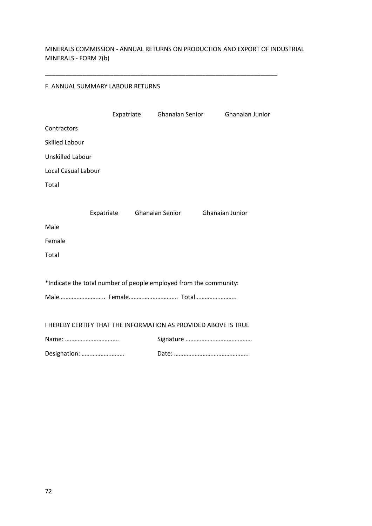MINERALS COMMISSION - ANNUAL RETURNS ON PRODUCTION AND EXPORT OF INDUSTRIAL MINERALS - FORM 7(b)

\_\_\_\_\_\_\_\_\_\_\_\_\_\_\_\_\_\_\_\_\_\_\_\_\_\_\_\_\_\_\_\_\_\_\_\_\_\_\_\_\_\_\_\_\_\_\_\_\_\_\_\_\_\_\_\_\_\_\_\_\_\_\_\_\_\_\_\_

## F. ANNUAL SUMMARY LABOUR RETURNS

|                                                                   |  |  | Expatriate Ghanaian Senior |  | Ghanaian Junior |  |  |
|-------------------------------------------------------------------|--|--|----------------------------|--|-----------------|--|--|
| Contractors                                                       |  |  |                            |  |                 |  |  |
| <b>Skilled Labour</b>                                             |  |  |                            |  |                 |  |  |
| <b>Unskilled Labour</b>                                           |  |  |                            |  |                 |  |  |
| Local Casual Labour                                               |  |  |                            |  |                 |  |  |
| Total                                                             |  |  |                            |  |                 |  |  |
|                                                                   |  |  |                            |  |                 |  |  |
|                                                                   |  |  | Expatriate Ghanaian Senior |  | Ghanaian Junior |  |  |
| Male                                                              |  |  |                            |  |                 |  |  |
| Female                                                            |  |  |                            |  |                 |  |  |
| Total                                                             |  |  |                            |  |                 |  |  |
|                                                                   |  |  |                            |  |                 |  |  |
| *Indicate the total number of people employed from the community: |  |  |                            |  |                 |  |  |
| Male Female Total                                                 |  |  |                            |  |                 |  |  |
|                                                                   |  |  |                            |  |                 |  |  |
| I HEREBY CERTIFY THAT THE INFORMATION AS PROVIDED ABOVE IS TRUE   |  |  |                            |  |                 |  |  |
| Name:                                                             |  |  |                            |  |                 |  |  |
| Designation:                                                      |  |  |                            |  |                 |  |  |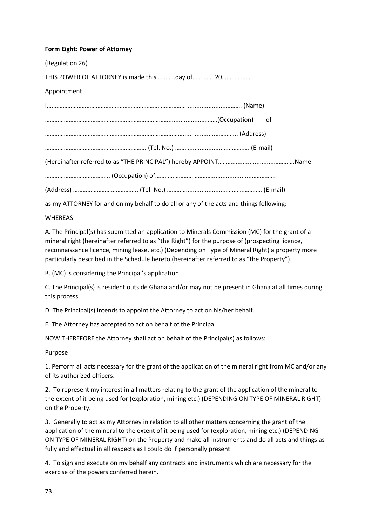## **Form Eight: Power of Attorney**

| (Regulation 26)                                                                        |
|----------------------------------------------------------------------------------------|
| THIS POWER OF ATTORNEY is made thisday of20                                            |
| Appointment                                                                            |
|                                                                                        |
|                                                                                        |
|                                                                                        |
|                                                                                        |
|                                                                                        |
|                                                                                        |
|                                                                                        |
| as my ATTORNEY for and on my behalf to do all or any of the acts and things following: |
|                                                                                        |

WHEREAS:

A. The Principal(s) has submitted an application to Minerals Commission (MC) for the grant of a mineral right (hereinafter referred to as "the Right") for the purpose of (prospecting licence, reconnaissance licence, mining lease, etc.) (Depending on Type of Mineral Right) a property more particularly described in the Schedule hereto (hereinafter referred to as "the Property").

B. (MC) is considering the Principal's application.

C. The Principal(s) is resident outside Ghana and/or may not be present in Ghana at all times during this process.

D. The Principal(s) intends to appoint the Attorney to act on his/her behalf.

E. The Attorney has accepted to act on behalf of the Principal

NOW THEREFORE the Attorney shall act on behalf of the Principal(s) as follows:

Purpose

1. Perform all acts necessary for the grant of the application of the mineral right from MC and/or any of its authorized officers.

2. To represent my interest in all matters relating to the grant of the application of the mineral to the extent of it being used for (exploration, mining etc.) (DEPENDING ON TYPE OF MINERAL RIGHT) on the Property.

3. Generally to act as my Attorney in relation to all other matters concerning the grant of the application of the mineral to the extent of it being used for (exploration, mining etc.) (DEPENDING ON TYPE OF MINERAL RIGHT) on the Property and make all instruments and do all acts and things as fully and effectual in all respects as I could do if personally present

4. To sign and execute on my behalf any contracts and instruments which are necessary for the exercise of the powers conferred herein.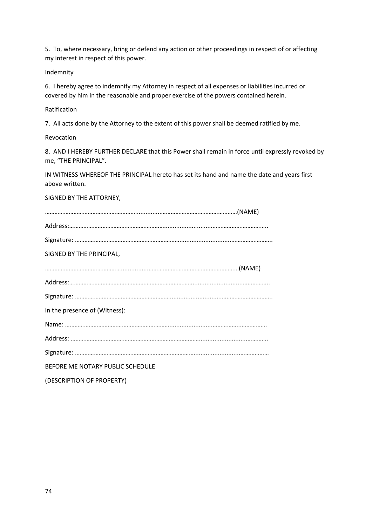5. To, where necessary, bring or defend any action or other proceedings in respect of or affecting my interest in respect of this power.

## Indemnity

6. I hereby agree to indemnify my Attorney in respect of all expenses or liabilities incurred or covered by him in the reasonable and proper exercise of the powers contained herein.

## Ratification

7. All acts done by the Attorney to the extent of this power shall be deemed ratified by me.

# Revocation

8. AND I HEREBY FURTHER DECLARE that this Power shall remain in force until expressly revoked by me, "THE PRINCIPAL".

IN WITNESS WHEREOF THE PRINCIPAL hereto has set its hand and name the date and years first above written.

# SIGNED BY THE ATTORNEY,

| SIGNED BY THE PRINCIPAL,         |  |
|----------------------------------|--|
|                                  |  |
|                                  |  |
|                                  |  |
| In the presence of (Witness):    |  |
|                                  |  |
|                                  |  |
|                                  |  |
| BEFORE ME NOTARY PUBLIC SCHEDULE |  |
| (DESCRIPTION OF PROPERTY)        |  |